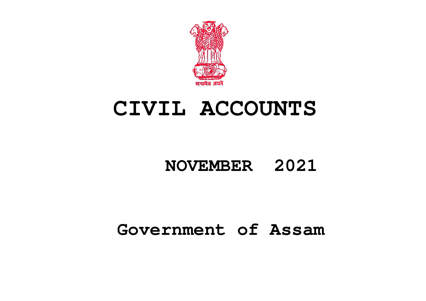

# **CIVIL ACCOUNTS**

## **NOVEMBER 2021**

## **Government of Assam**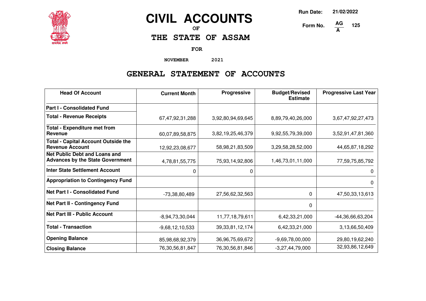

## **CIVIL ACCOUNTS**

**OF**

**THE STATE OF ASSAM**

**FOR**

**NOVEMBER 2021**

### **GENERAL STATEMENT OF ACCOUNTS**

| <b>Head Of Account</b>                                                          | <b>Current Month</b> | Progressive         | <b>Budget/Revised</b><br><b>Estimate</b> | <b>Progressive Last Year</b> |
|---------------------------------------------------------------------------------|----------------------|---------------------|------------------------------------------|------------------------------|
| <b>Part I - Consolidated Fund</b>                                               |                      |                     |                                          |                              |
| <b>Total - Revenue Receipts</b>                                                 | 67,47,92,31,288      | 3,92,80,94,69,645   | 8,89,79,40,26,000                        | 3,67,47,92,27,473            |
| <b>Total - Expenditure met from</b><br>Revenue                                  | 60,07,89,58,875      | 3,82,19,25,46,379   | 9,92,55,79,39,000                        | 3,52,91,47,81,360            |
| <b>Total - Capital Account Outside the</b><br><b>Revenue Account</b>            | 12,92,23,08,677      | 58,98,21,83,509     | 3,29,58,28,52,000                        | 44,65,87,18,292              |
| <b>Net Public Debt and Loans and</b><br><b>Advances by the State Government</b> | 4,78,81,55,775       | 75,93,14,92,806     | 1,46,73,01,11,000                        | 77,59,75,85,792              |
| <b>Inter State Settlement Account</b>                                           | 0                    | 0                   |                                          | 0                            |
| <b>Appropriation to Contingency Fund</b>                                        |                      |                     |                                          | 0                            |
| <b>Net Part I - Consolidated Fund</b>                                           | -73,38,80,489        | 27,56,62,32,563     | $\Omega$                                 | 47,50,33,13,613              |
| Net Part II - Contingency Fund                                                  |                      |                     | $\Omega$                                 |                              |
| <b>Net Part III - Public Account</b>                                            | $-8,94,73,30,044$    | 11,77,18,79,611     | 6,42,33,21,000                           | -44,36,66,63,204             |
| <b>Total - Transaction</b>                                                      | $-9,68,12,10,533$    | 39, 33, 81, 12, 174 | 6,42,33,21,000                           | 3,13,66,50,409               |
| <b>Opening Balance</b>                                                          | 85,98,68,92,379      | 36,96,75,69,672     | $-9,69,78,00,000$                        | 29,80,19,62,240              |
| <b>Closing Balance</b>                                                          | 76,30,56,81,847      | 76, 30, 56, 81, 846 | $-3,27,44,79,000$                        | 32,93,86,12,649              |

**Run Date: 21/02/2022**

**125**

**Form No. A**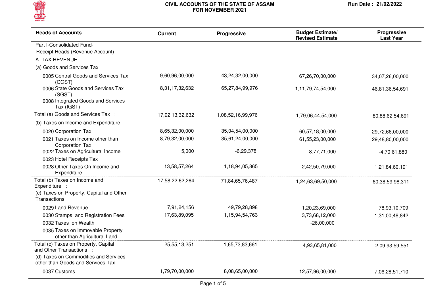

| <b>Heads of Accounts</b>                                                                        | <b>Current</b>  | Progressive       | <b>Budget Estimate/</b><br><b>Revised Estimate</b> | Progressive<br><b>Last Year</b> |
|-------------------------------------------------------------------------------------------------|-----------------|-------------------|----------------------------------------------------|---------------------------------|
| Part I-Consolidated Fund-                                                                       |                 |                   |                                                    |                                 |
| Receipt Heads (Revenue Account)                                                                 |                 |                   |                                                    |                                 |
| A. TAX REVENUE                                                                                  |                 |                   |                                                    |                                 |
| (a) Goods and Services Tax                                                                      |                 |                   |                                                    |                                 |
| 0005 Central Goods and Services Tax<br>(CGST)                                                   | 9,60,96,00,000  | 43,24,32,00,000   | 67,26,70,00,000                                    | 34,07,26,00,000                 |
| 0006 State Goods and Services Tax<br>(SGST)<br>0008 Integrated Goods and Services<br>Tax (IGST) | 8,31,17,32,632  | 65,27,84,99,976   | 1,11,79,74,54,000                                  | 46,81,36,54,691                 |
| Total (a) Goods and Services Tax :                                                              | 17,92,13,32,632 | 1,08,52,16,99,976 | 1,79,06,44,54,000                                  | 80,88,62,54,691                 |
| (b) Taxes on Income and Expenditure                                                             |                 |                   |                                                    |                                 |
| 0020 Corporation Tax                                                                            | 8,65,32,00,000  | 35,04,54,00,000   | 60,57,18,00,000                                    | 29,72,66,00,000                 |
| 0021 Taxes on Income other than<br><b>Corporation Tax</b>                                       | 8,79,32,00,000  | 35,61,24,00,000   | 61,55,23,00,000                                    | 29,48,80,00,000                 |
| 0022 Taxes on Agricultural Income                                                               | 5,000           | $-6,29,378$       | 8,77,71,000                                        | $-4,70,61,880$                  |
| 0023 Hotel Receipts Tax                                                                         |                 |                   |                                                    |                                 |
| 0028 Other Taxes On Income and<br>Expenditure                                                   | 13,58,57,264    | 1,18,94,05,865    | 2,42,50,79,000                                     | 1,21,84,60,191                  |
| Total (b) Taxes on Income and<br>Expenditure :                                                  | 17,58,22,62,264 | 71,84,65,76,487   | 1,24,63,69,50,000                                  | 60,38,59,98,311                 |
| (c) Taxes on Property, Capital and Other<br>Transactions                                        |                 |                   |                                                    |                                 |
| 0029 Land Revenue                                                                               | 7,91,24,156     | 49,79,28,898      | 1,20,23,69,000                                     | 78,93,10,709                    |
| 0030 Stamps and Registration Fees                                                               | 17,63,89,095    | 1,15,94,54,763    | 3,73,68,12,000                                     | 1,31,00,48,842                  |
| 0032 Taxes on Wealth                                                                            |                 |                   | $-26,00,000$                                       |                                 |
| 0035 Taxes on Immovable Property<br>other than Agricultural Land                                |                 |                   |                                                    |                                 |
| Total (c) Taxes on Property, Capital<br>and Other Transactions :                                | 25,55,13,251    | 1,65,73,83,661    | 4,93,65,81,000                                     | 2,09,93,59,551                  |
| (d) Taxes on Commodities and Services<br>other than Goods and Services Tax                      |                 |                   |                                                    |                                 |
| 0037 Customs                                                                                    | 1,79,70,00,000  | 8,08,65,00,000    | 12,57,96,00,000                                    | 7,06,28,51,710                  |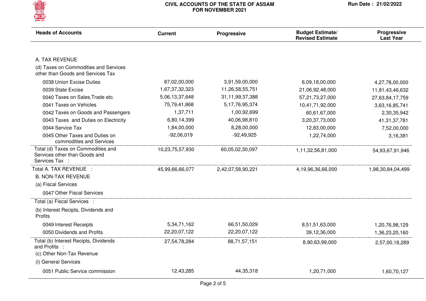

| <b>Heads of Accounts</b>                                                              | <b>Current</b>  | Progressive        | <b>Budget Estimate/</b><br><b>Revised Estimate</b> | Progressive<br><b>Last Year</b> |
|---------------------------------------------------------------------------------------|-----------------|--------------------|----------------------------------------------------|---------------------------------|
|                                                                                       |                 |                    |                                                    |                                 |
| A. TAX REVENUE                                                                        |                 |                    |                                                    |                                 |
| (d) Taxes on Commodities and Services<br>other than Goods and Services Tax            |                 |                    |                                                    |                                 |
| 0038 Union Excise Duties                                                              | 87,02,00,000    | 3,91,59,00,000     | 6,09,18,00,000                                     | 4,27,78,00,000                  |
| 0039 State Excise                                                                     | 1,67,37,32,323  | 11,26,58,55,751    | 21,06,92,48,000                                    | 11,81,43,46,632                 |
| 0040 Taxes on Sales, Trade etc.                                                       | 5,06,13,37,648  | 31,11,99,37,388    | 57,21,73,27,000                                    | 27,63,84,17,759                 |
| 0041 Taxes on Vehicles                                                                | 75,79,41,868    | 5, 17, 76, 95, 374 | 10,41,71,92,000                                    | 3,63,16,85,741                  |
| 0042 Taxes on Goods and Passengers                                                    | 1,37,711        | 1,00,92,699        | 60,61,67,000                                       | 2,30,35,942                     |
| 0043 Taxes and Duties on Electricity                                                  | 6,80,14,399     | 40,06,98,810       | 3,20,37,73,000                                     | 41, 31, 37, 781                 |
| 0044 Service Tax                                                                      | 1,84,00,000     | 8,28,00,000        | 12,83,00,000                                       | 7,52,00,000                     |
| 0045 Other Taxes and Duties on<br>commodities and Services                            | $-92,06,019$    | $-92,49,925$       | 1,22,74,000                                        | 3,16,381                        |
| Total (d) Taxes on Commodities and<br>Services other than Goods and<br>Services Tax : | 10,23,75,57,930 | 60,05,02,30,097    | 1,11,32,56,81,000                                  | 54,93,67,91,946                 |
| Total A. TAX REVENUE :                                                                | 45,99,66,66,077 | 2,42,07,58,90,221  | 4,19,96,36,66,000                                  | 1,98,30,84,04,499               |
| <b>B. NON-TAX REVENUE</b>                                                             |                 |                    |                                                    |                                 |
| (a) Fiscal Services                                                                   |                 |                    |                                                    |                                 |
| 0047 Other Fiscal Services                                                            |                 |                    |                                                    |                                 |
| Total (a) Fiscal Services :                                                           |                 |                    |                                                    |                                 |
| (b) Interest Recipts, Dividends and<br>Profits                                        |                 |                    |                                                    |                                 |
| 0049 Interest Receipts                                                                | 5,34,71,162     | 66,51,50,029       | 8,51,51,63,000                                     | 1,20,76,98,129                  |
| 0050 Dividends and Profits                                                            | 22,20,07,122    | 22,20,07,122       | 39,12,36,000                                       | 1,36,23,20,160                  |
| Total (b) Interest Recipts, Dividends<br>and Profits :                                | 27,54,78,284    | 88,71,57,151       | 8,90,63,99,000                                     | 2,57,00,18,289                  |
| (c) Other Non-Tax Revenue                                                             |                 |                    |                                                    |                                 |
| (i) General Services                                                                  |                 |                    |                                                    |                                 |
| 0051 Public Service commission                                                        | 12,43,285       | 44,35,318          | 1,20,71,000                                        | 1,60,70,127                     |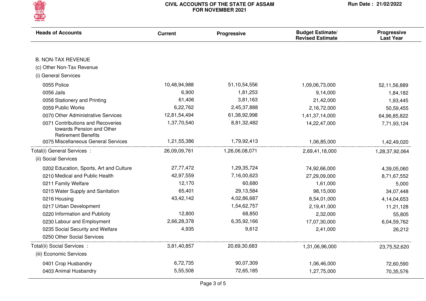

| <b>Heads of Accounts</b>                                                                     | <b>Current</b> | Progressive     | <b>Budget Estimate/</b><br><b>Revised Estimate</b> | Progressive<br><b>Last Year</b> |
|----------------------------------------------------------------------------------------------|----------------|-----------------|----------------------------------------------------|---------------------------------|
|                                                                                              |                |                 |                                                    |                                 |
| <b>B. NON-TAX REVENUE</b>                                                                    |                |                 |                                                    |                                 |
| (c) Other Non-Tax Revenue                                                                    |                |                 |                                                    |                                 |
| (i) General Services                                                                         |                |                 |                                                    |                                 |
| 0055 Police                                                                                  | 10,48,94,988   | 51, 10, 54, 556 | 1,09,06,73,000                                     | 52,11,56,889                    |
| 0056 Jails                                                                                   | 6,900          | 1,81,253        | 9,14,000                                           | 1,84,182                        |
| 0058 Stationery and Printing                                                                 | 61,406         | 3,81,163        | 21,42,000                                          | 1,93,445                        |
| 0059 Public Works                                                                            | 6,22,762       | 2,45,37,888     | 2,16,72,000                                        | 50,59,455                       |
| 0070 Other Administrative Services                                                           | 12,81,54,494   | 61,38,92,998    | 1,41,37,14,000                                     | 64,96,85,822                    |
| 0071 Contributions and Recoveries<br>towards Pension and Other<br><b>Retirement Benefits</b> | 1,37,70,540    | 8,81,32,482     | 14,22,47,000                                       | 7,71,93,124                     |
| 0075 Miscellaneous General Services                                                          | 1,21,55,386    | 1,79,92,413     | 1,06,85,000                                        | 1,42,49,020                     |
| Total(i) General Services :                                                                  | 26,09,09,761   | 1,26,06,08,071  | 2,69,41,18,000                                     | 1,28,37,92,064                  |
| (ii) Social Services                                                                         |                |                 |                                                    |                                 |
| 0202 Education, Sports, Art and Culture                                                      | 27,77,472      | 1,29,35,724     | 74,92,66,000                                       | 4,39,05,060                     |
| 0210 Medical and Public Health                                                               | 42,97,559      | 7,16,00,623     | 27,29,09,000                                       | 8,71,67,552                     |
| 0211 Family Welfare                                                                          | 12,170         | 60,680          | 1,61,000                                           | 5,000                           |
| 0215 Water Supply and Sanitation                                                             | 65,401         | 29,13,584       | 98,15,000                                          | 34,07,448                       |
| 0216 Housing                                                                                 | 43,42,142      | 4,02,86,687     | 8,54,01,000                                        | 4,14,04,653                     |
| 0217 Urban Development                                                                       |                | 1,54,62,757     | 2,19,41,000                                        | 11,21,128                       |
| 0220 Information and Publicity                                                               | 12,800         | 68,850          | 2,32,000                                           | 55,805                          |
| 0230 Labour and Employment                                                                   | 2,66,28,378    | 6,35,92,166     | 17,07,30,000                                       | 6,04,59,762                     |
| 0235 Social Security and Welfare                                                             | 4,935          | 9,612           | 2,41,000                                           | 26,212                          |
| 0250 Other Social Services                                                                   |                |                 |                                                    |                                 |
| Total(ii) Social Services :                                                                  | 3,81,40,857    | 20,69,30,683    | 1,31,06,96,000                                     | 23,75,52,620                    |
| (iii) Economic Services                                                                      |                |                 |                                                    |                                 |
| 0401 Crop Husbandry                                                                          | 6,72,735       | 90,07,309       | 1,06,46,000                                        | 72,60,590                       |
| 0403 Animal Husbandry                                                                        | 5,55,508       | 72,65,185       | 1,27,75,000                                        | 70,35,576                       |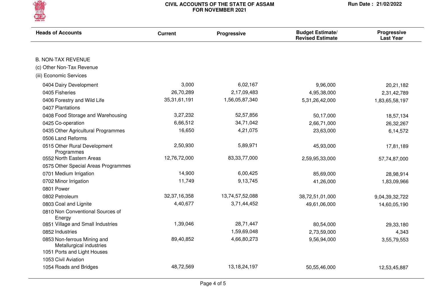

| <b>Heads of Accounts</b>                                | <b>Current</b>  | Progressive     | <b>Budget Estimate/</b><br><b>Revised Estimate</b> | Progressive<br><b>Last Year</b> |
|---------------------------------------------------------|-----------------|-----------------|----------------------------------------------------|---------------------------------|
| <b>B. NON-TAX REVENUE</b>                               |                 |                 |                                                    |                                 |
| (c) Other Non-Tax Revenue                               |                 |                 |                                                    |                                 |
| (iii) Economic Services                                 |                 |                 |                                                    |                                 |
|                                                         |                 |                 |                                                    |                                 |
| 0404 Dairy Development                                  | 3,000           | 6,02,167        | 9,96,000                                           | 20,21,182                       |
| 0405 Fisheries                                          | 26,70,289       | 2,17,09,483     | 4,95,38,000                                        | 2,31,42,789                     |
| 0406 Forestry and Wild Life                             | 35, 31, 61, 191 | 1,56,05,87,340  | 5,31,26,42,000                                     | 1,83,65,58,197                  |
| 0407 Plantations                                        |                 |                 |                                                    |                                 |
| 0408 Food Storage and Warehousing                       | 3,27,232        | 52,57,856       | 50,17,000                                          | 18,57,134                       |
| 0425 Co-operation                                       | 6,66,512        | 34,71,042       | 2,66,71,000                                        | 26,32,267                       |
| 0435 Other Agricultural Programmes                      | 16,650          | 4,21,075        | 23,63,000                                          | 6,14,572                        |
| 0506 Land Reforms                                       |                 |                 |                                                    |                                 |
| 0515 Other Rural Development<br>Programmes              | 2,50,930        | 5,89,971        | 45,93,000                                          | 17,81,189                       |
| 0552 North Eastern Areas                                | 12,76,72,000    | 83, 33, 77, 000 | 2,59,95,33,000                                     | 57,74,87,000                    |
| 0575 Other Special Areas Programmes                     |                 |                 |                                                    |                                 |
| 0701 Medium Irrigation                                  | 14,900          | 6,00,425        | 85,69,000                                          | 28,98,914                       |
| 0702 Minor Irrigation                                   | 11,749          | 9,13,745        | 41,26,000                                          | 1,83,09,966                     |
| 0801 Power                                              |                 |                 |                                                    |                                 |
| 0802 Petroleum                                          | 32, 37, 16, 358 | 13,74,57,52,088 | 38,72,51,01,000                                    | 9,04,39,32,722                  |
| 0803 Coal and Lignite                                   | 4,40,677        | 3,71,44,452     | 49,61,06,000                                       | 14,60,05,190                    |
| 0810 Non Conventional Sources of<br>Energy              |                 |                 |                                                    |                                 |
| 0851 Village and Small Industries                       | 1,39,046        | 28,71,447       | 80,54,000                                          | 29,33,180                       |
| 0852 Industries                                         |                 | 1,59,69,048     | 2,73,59,000                                        | 4,343                           |
| 0853 Non-ferrous Mining and<br>Metallurgical industries | 89,40,852       | 4,66,80,273     | 9,56,94,000                                        | 3,55,79,553                     |
| 1051 Ports and Light Houses                             |                 |                 |                                                    |                                 |
| 1053 Civil Aviation                                     |                 |                 |                                                    |                                 |
| 1054 Roads and Bridges                                  | 48,72,569       | 13, 18, 24, 197 | 50,55,46,000                                       | 12,53,45,887                    |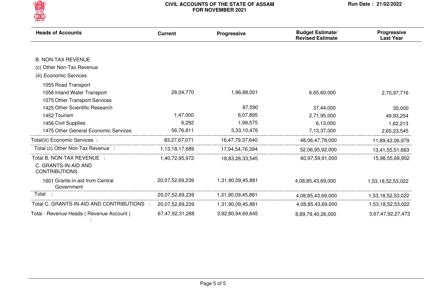

| <b>Heads of Accounts</b>                      | <b>Current</b>  | Progressive       | <b>Budget Estimate/</b><br><b>Revised Estimate</b> | Progressive<br><b>Last Year</b> |
|-----------------------------------------------|-----------------|-------------------|----------------------------------------------------|---------------------------------|
|                                               |                 |                   |                                                    |                                 |
| <b>B. NON-TAX REVENUE</b>                     |                 |                   |                                                    |                                 |
| (c) Other Non-Tax Revenue                     |                 |                   |                                                    |                                 |
| (iii) Economic Services                       |                 |                   |                                                    |                                 |
| 1055 Road Transport                           |                 |                   |                                                    |                                 |
| 1056 Inland Water Transport                   | 28,04,770       | 1,96,88,001       | 6,65,60,000                                        | 2,70,97,716                     |
| 1075 Other Transport Services                 |                 |                   |                                                    |                                 |
| 1425 Other Scientific Research                |                 | 87,590            | 37,44,000                                          | 30,000                          |
| 1452 Tourism                                  | 1,47,000        | 6,07,895          | 2,71,95,000                                        | 49,93,254                       |
| 1456 Civil Supplies                           | 6,292           | 1,99,575          | 6,13,000                                           | 1,62,213                        |
| 1475 Other General Economic Services          | 56,76,811       | 3,33,10,476       | 7,13,37,000                                        | 2,65,23,545                     |
| Total(iii) Economic Services:                 | 83,27,67,071    | 16,47,79,37,640   | 48,06,47,78,000                                    | 11,89,42,06,979                 |
| Total (c) Other Non-Tax Revenue :             | 1,13,18,17,689  | 17,94,54,76,394   | 52,06,95,92,000                                    | 13,41,55,51,663                 |
| Total B. NON-TAX REVENUE :                    | 1,40,72,95,972  | 18,83,26,33,545   | 60,97,59,91,000                                    | 15,98,55,69,952                 |
| C. GRANTS-IN-AID AND<br><b>CONTRIBUTIONS</b>  |                 |                   |                                                    |                                 |
| 1601 Grants-in-aid from Central<br>Government | 20,07,52,69,239 | 1,31,90,09,45,881 | 4,08,85,43,69,000                                  | 1,53,18,52,53,022               |
| Total                                         | 20,07,52,69,239 | 1,31,90,09,45,881 | 4,08,85,43,69,000                                  | 1,53,18,52,53,022               |
| Total C. GRANTS-IN-AID AND CONTRIBUTIONS      | 20,07,52,69,239 | 1,31,90,09,45,881 | 4,08,85,43,69,000                                  | 1,53,18,52,53,022               |
| Total - Revenue Heads (Revenue Account)       | 67,47,92,31,288 | 3,92,80,94,69,645 | 8,89,79,40,26,000                                  | 3,67,47,92,27,473               |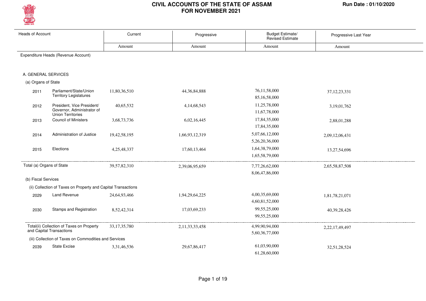

| <b>Heads of Account</b>   |                                                                                      | Current         | Progressive        | Budget Estimate/<br><b>Revised Estimate</b> | Progressive Last Year |  |  |
|---------------------------|--------------------------------------------------------------------------------------|-----------------|--------------------|---------------------------------------------|-----------------------|--|--|
|                           |                                                                                      | Amount          | Amount             | Amount                                      | Amount                |  |  |
|                           | Expenditure Heads (Revenue Account)                                                  |                 |                    |                                             |                       |  |  |
| A. GENERAL SERVICES       |                                                                                      |                 |                    |                                             |                       |  |  |
| (a) Organs of State       |                                                                                      |                 |                    |                                             |                       |  |  |
| 2011                      | Parliament/State/Union<br><b>Territory Legislatures</b>                              | 11,80,36,510    | 44, 36, 84, 888    | 76,11,58,000<br>85,16,58,000                | 37, 12, 23, 331       |  |  |
| 2012                      | President, Vice President/<br>Governor, Administrator of<br><b>Union Territories</b> | 40,65,532       | 4, 14, 68, 543     | 11,25,78,000<br>11,67,78,000                | 3,19,01,762           |  |  |
| 2013                      | <b>Council of Ministers</b>                                                          | 3,68,73,736     | 6,02,16,445        | 17,84,35,000<br>17,84,35,000                | 2,88,01,288           |  |  |
| 2014                      | Administration of Justice                                                            | 19,42,58,195    | 1,66,93,12,319     | 5,07,66,12,000<br>5,26,20,36,000            | 2,09,12,06,431        |  |  |
| 2015                      | Elections                                                                            | 4,25,48,337     | 17,60,13,464       | 1,64,38,79,000<br>1,65,58,79,000            | 13,27,54,696          |  |  |
| Total (a) Organs of State |                                                                                      | 39,57,82,310    | 2,39,06,95,659     | 7,77,26,62,000<br>8,06,47,86,000            | 2,65,58,87,508        |  |  |
| (b) Fiscal Services       |                                                                                      |                 |                    |                                             |                       |  |  |
|                           | (ii) Collection of Taxes on Property and Capital Transactions                        |                 |                    |                                             |                       |  |  |
| 2029                      | Land Revenue                                                                         | 24,64,93,466    | 1,94,29,64,225     | 4,00,35,69,000<br>4,60,81,52,000            | 1,81,78,21,071        |  |  |
| 2030                      | Stamps and Registration                                                              | 8,52,42,314     | 17,03,69,233       | 99,55,25,000<br>99,55,25,000                | 40,39,28,426          |  |  |
|                           | Total(ii) Collection of Taxes on Property<br>and Capital Transactions                | 33, 17, 35, 780 | 2, 11, 33, 33, 458 | 4,99,90,94,000<br>5,60,36,77,000            | 2,22,17,49,497        |  |  |
|                           | (iii) Collection of Taxes on Commodities and Services                                |                 |                    |                                             |                       |  |  |
| 2039                      | <b>State Excise</b>                                                                  | 3,31,46,536     | 29,67,86,417       | 61,03,90,000<br>61.28.60.000                | 32,51,28,524          |  |  |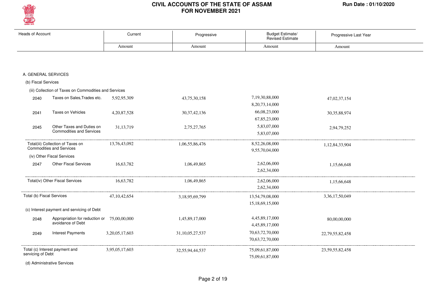

| <b>Heads of Account</b>                             |                                                                      | Current         | Progressive     | Budget Estimate/<br>Revised Estimate | Progressive Last Year |
|-----------------------------------------------------|----------------------------------------------------------------------|-----------------|-----------------|--------------------------------------|-----------------------|
|                                                     |                                                                      | Amount          | Amount          | Amount                               | Amount                |
|                                                     |                                                                      |                 |                 |                                      |                       |
| A. GENERAL SERVICES                                 |                                                                      |                 |                 |                                      |                       |
| (b) Fiscal Services                                 |                                                                      |                 |                 |                                      |                       |
|                                                     | (iii) Collection of Taxes on Commodities and Services                |                 |                 |                                      |                       |
| 2040                                                | Taxes on Sales, Trades etc.                                          | 5,92,95,309     | 43,75,30,158    | 7,19,30,88,000<br>8, 20, 73, 14, 000 | 47,02,37,154          |
| 2041                                                | Taxes on Vehicles                                                    | 4,20,87,528     | 30, 37, 42, 136 | 66,08,23,000<br>67,85,23,000         | 30, 35, 88, 974       |
| 2045                                                | Other Taxes and Duties on<br><b>Commodities and Services</b>         | 31,13,719       | 2,75,27,765     | 5,83,07,000<br>5,83,07,000           | 2,94,79,252           |
|                                                     | Total(iii) Collection of Taxes on<br><b>Commodities and Services</b> | 13,76,43,092    | 1,06,55,86,476  | 8,52,26,08,000<br>9,55,70,04,000     | 1,12,84,33,904        |
|                                                     | (iv) Other Fiscal Services                                           |                 |                 |                                      |                       |
| 2047                                                | <b>Other Fiscal Services</b>                                         | 16,63,782       | 1,06,49,865     | 2,62,06,000<br>2,62,34,000           | 1,15,66,648           |
|                                                     | Total(iv) Other Fiscal Services                                      | 16,63,782       | 1,06,49,865     | 2,62,06,000<br>2,62,34,000           | 1,15,66,648           |
| Total (b) Fiscal Services                           |                                                                      | 47, 10, 42, 654 | 3,18,95,69,799  | 13,54,79,08,000<br>15,18,69,15,000   | 3,36,17,50,049        |
|                                                     | (c) Interest payment and servicing of Debt                           |                 |                 |                                      |                       |
| 2048                                                | Appropriation for reduction or<br>avoidance of Debt                  | 75,00,00,000    | 1,45,89,17,000  | 4,45,89,17,000<br>4,45,89,17,000     | 80,00,00,000          |
| 2049                                                | <b>Interest Payments</b>                                             | 3,20,05,17,603  | 31,10,05,27,537 | 70,63,72,70,000<br>70,63,72,70,000   | 22,79,55,82,458       |
| Total (c) Interest payment and<br>servicing of Debt |                                                                      | 3,95,05,17,603  | 32,55,94,44,537 | 75,09,61,87,000<br>75,09,61,87,000   | 23, 59, 55, 82, 458   |
|                                                     | (d) Administrative Services                                          |                 |                 |                                      |                       |

Page 2 of 19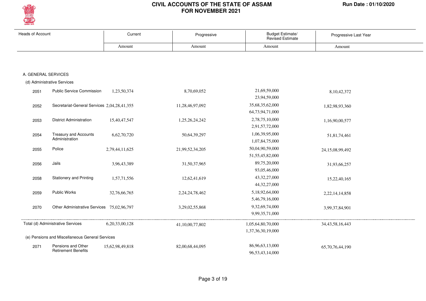

| <b>Heads of Account</b> |                                                 | Current         | Progressive     | Budget Estimate/<br><b>Revised Estimate</b> | Progressive Last Year |
|-------------------------|-------------------------------------------------|-----------------|-----------------|---------------------------------------------|-----------------------|
|                         |                                                 | Amount          | Amount          | Amount                                      | Amount                |
|                         |                                                 |                 |                 |                                             |                       |
|                         |                                                 |                 |                 |                                             |                       |
| A. GENERAL SERVICES     |                                                 |                 |                 |                                             |                       |
|                         | (d) Administrative Services                     |                 |                 |                                             |                       |
| 2051                    | <b>Public Service Commission</b>                | 1,23,50,374     | 8,70,69,052     | 21,69,59,000                                | 8, 10, 42, 372        |
|                         |                                                 |                 |                 | 23,94,59,000                                |                       |
| 2052                    | Secretariat-General Services 2,04,28,41,355     |                 | 11,28,46,97,092 | 35,68,35,62,000                             | 1,82,98,93,360        |
|                         |                                                 |                 |                 | 64,73,94,71,000                             |                       |
| 2053                    | <b>District Administration</b>                  | 15,40,47,547    | 1,25,26,24,242  | 2,78,75,10,000                              | 1,16,90,00,577        |
|                         |                                                 |                 |                 | 2,91,57,72,000                              |                       |
| 2054                    | <b>Treasury and Accounts</b>                    | 6,62,70,720     | 50,64,39,297    | 1,06,39,95,000                              | 51,81,74,461          |
|                         | Administration                                  |                 |                 | 1,07,84,75,000                              |                       |
| 2055                    | Police                                          | 2,79,44,11,625  | 21,99,52,34,205 | 50,04,90,59,000                             | 24,15,08,99,492       |
|                         |                                                 |                 |                 | 51,55,45,82,000                             |                       |
| 2056                    | Jails                                           | 3,96,43,389     | 31,50,37,965    | 89,75,20,000                                | 31,93,66,257          |
|                         |                                                 |                 |                 | 93,05,46,000                                |                       |
| 2058                    | <b>Stationery and Printing</b>                  | 1,57,71,556     | 12,62,41,619    | 43,32,27,000                                | 15,22,40,165          |
|                         |                                                 |                 |                 | 44, 32, 27, 000                             |                       |
| 2059                    | Public Works                                    | 32,76,66,765    | 2,24,24,78,462  | 5,18,92,64,000                              | 2, 22, 14, 14, 858    |
|                         |                                                 |                 |                 | 5,46,79,16,000                              |                       |
| 2070                    | Other Administrative Services 75,02,96,797      |                 | 3,29,02,55,868  | 9,32,69,74,000                              | 3,99,37,84,901        |
|                         |                                                 |                 |                 | 9,99,35,71,000                              |                       |
|                         | Total (d) Administrative Services               | 6,20,33,00,128  | 41,10,00,77,802 | 1,05,64,80,70,000                           | 34, 43, 58, 16, 443   |
|                         |                                                 |                 |                 | 1,37,36,30,19,000                           |                       |
|                         | (e) Pensions and Miscellaneous General Services |                 |                 |                                             |                       |
| 2071                    | Pensions and Other                              | 15,62,98,49,818 | 82,00,68,44,095 | 86,96,63,13,000                             | 65,70,76,44,190       |
|                         | <b>Retirement Benefits</b>                      |                 |                 | 96,53,43,14,000                             |                       |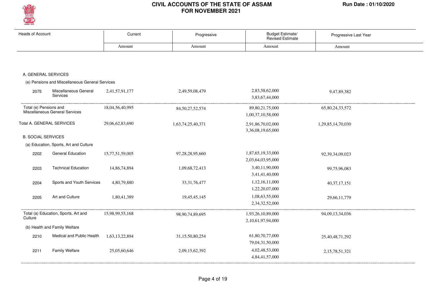

| <b>Heads of Account</b>                                  |                                                 | Current         | Progressive         | Budget Estimate/<br><b>Revised Estimate</b> | Progressive Last Year |
|----------------------------------------------------------|-------------------------------------------------|-----------------|---------------------|---------------------------------------------|-----------------------|
|                                                          |                                                 | Amount          | Amount              | Amount                                      | Amount                |
|                                                          |                                                 |                 |                     |                                             |                       |
| A. GENERAL SERVICES                                      |                                                 |                 |                     |                                             |                       |
|                                                          | (e) Pensions and Miscellaneous General Services |                 |                     |                                             |                       |
| 2075                                                     | Miscellaneous General<br>Services               | 2,41,57,91,177  | 2,49,59,08,479      | 2,83,58,62,000<br>3,83,67,44,000            | 9,47,89,382           |
| Total (e) Pensions and<br>Miscellaneous General Services |                                                 | 18,04,56,40,995 | 84, 50, 27, 52, 574 | 89, 80, 21, 75, 000<br>1,00,37,10,58,000    | 65,80,24,33,572       |
|                                                          | Total A. GENERAL SERVICES                       | 29,06,62,83,690 | 1,63,74,25,40,371   | 2,91,86,70,02,000<br>3,36,08,19,65,000      | 1,29,85,14,70,030     |
| <b>B. SOCIAL SERVICES</b>                                |                                                 |                 |                     |                                             |                       |
|                                                          | (a) Education, Sports, Art and Culture          |                 |                     |                                             |                       |
| 2202                                                     | General Education                               | 15,77,51,59,005 | 97,28,28,95,660     | 1,87,65,19,33,000<br>2,03,64,03,95,000      | 92,39,34,09,023       |
| 2203                                                     | <b>Technical Education</b>                      | 14,86,74,894    | 1,09,68,72,413      | 3,40,11,90,000<br>3,41,41,40,000            | 99,75,96,083          |
| 2204                                                     | Sports and Youth Services                       | 4,80,79,880     | 33, 31, 76, 477     | 1,12,16,11,000<br>1,22,20,07,000            | 40, 37, 17, 151       |
| 2205                                                     | Art and Culture                                 | 1,80,41,389     | 19,45,45,145        | 1,08,63,55,000<br>2,34,32,52,000            | 29,66,11,779          |
| Culture                                                  | Total (a) Education, Sports, Art and            | 15,98,99,55,168 | 98,90,74,89,695     | 1,93,26,10,89,000<br>2,10,61,97,94,000      | 94,09,13,34,036       |
|                                                          | (b) Health and Family Welfare                   |                 |                     |                                             |                       |
| 2210                                                     | Medical and Public Health                       | 1,63,13,22,894  | 31,15,50,80,254     | 61,80,70,77,000<br>79,04,31,50,000          | 25,40,48,71,292       |
| 2211                                                     | <b>Family Welfare</b>                           | 25,05,60,646    | 2,09,15,62,392      | 4,02,48,53,000<br>4,84,41,57,000            | 2,15,78,51,321        |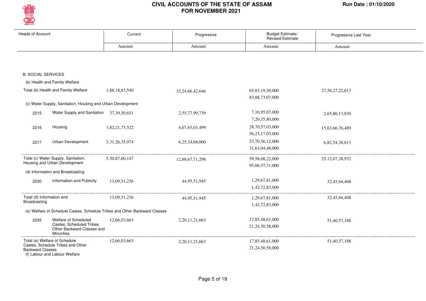

| <b>Heads of Account</b>   |                                                                       | Current                                                                    | Progressive        | Budget Estimate/<br><b>Revised Estimate</b> | Progressive Last Year |
|---------------------------|-----------------------------------------------------------------------|----------------------------------------------------------------------------|--------------------|---------------------------------------------|-----------------------|
|                           |                                                                       | Amount                                                                     | Amount             | Amount                                      | Amount                |
|                           |                                                                       |                                                                            |                    |                                             |                       |
|                           |                                                                       |                                                                            |                    |                                             |                       |
| <b>B. SOCIAL SERVICES</b> |                                                                       |                                                                            |                    |                                             |                       |
|                           | (b) Health and Family Welfare                                         |                                                                            |                    |                                             |                       |
|                           | Total (b) Health and Family Welfare                                   | 1,88,18,83,540                                                             | 33,24,66,42,646    | 65,83,19,30,000                             | 27, 56, 27, 22, 613   |
|                           |                                                                       |                                                                            |                    | 83, 88, 73, 07, 000                         |                       |
|                           | (c) Water Supply, Sanitation, Housing and Urban Development           |                                                                            |                    |                                             |                       |
| 2215                      | Water Supply and Sanitation 37,39,50,651                              |                                                                            | 2,55,77,99,739     | 7,16,95,07,000                              | 2,65,86,13,830        |
|                           |                                                                       |                                                                            |                    | 7, 20, 35, 80, 000                          |                       |
| 2216                      | Housing                                                               | 1,82,21,73,522                                                             | 4,07,65,03,499     | 28,70,57,03,000                             | 15,63,66,76,489       |
|                           |                                                                       |                                                                            |                    | 56, 23, 17, 03, 000                         |                       |
| 2217                      | Urban Development                                                     | 3, 31, 26, 35, 974                                                         | 6,25,24,68,060     | 23,70,56,12,000                             | 6,82,54,38,613        |
|                           |                                                                       |                                                                            |                    | 31,63,04,48,000                             |                       |
|                           | Total (c) Water Supply, Sanitation,                                   | 5,50,87,60,147                                                             | 12,88,67,71,298    | 59,58,08,22,000                             | 25, 12, 07, 28, 932   |
|                           | Housing and Urban Development                                         |                                                                            |                    | 95,06,57,31,000                             |                       |
|                           | (d) Information and Broadcasting                                      |                                                                            |                    |                                             |                       |
| 2220                      | Information and Publicity                                             | 13,09,51,236                                                               | 44,95,51,945       | 1,29,67,81,000                              | 32,45,94,408          |
|                           |                                                                       |                                                                            |                    | 1,42,72,83,000                              |                       |
| Total (d) Information and |                                                                       | 13,09,51,236                                                               | 44,95,51,945       | 1,29,67,81,000                              | 32,45,94,408          |
| Broadcasting              |                                                                       |                                                                            |                    | 1,42,72,83,000                              |                       |
|                           |                                                                       | (e) Welfare of Schedule Castes, Schedule Tribes and Other Backward Classes |                    |                                             |                       |
| 2225                      | Welfare of Scheduled                                                  | 12,66,03,663                                                               | 2,20,11,21,663     | 17,85,48,61,000                             | 51,40,57,188          |
|                           | Castes, Scheduled Tribes,<br>Other Backward Classes and<br>Minorities |                                                                            |                    | 21,24,50,58,000                             |                       |
|                           | Total (e) Welfare of Schedule<br>Castes, Schedule Tribes and Other    | 12,66,03,663                                                               | 2, 20, 11, 21, 663 | 17,85,48,61,000                             | 51,40,57,188          |
| <b>Backward Classes</b>   | (f) Labour and Labour Welfare                                         |                                                                            |                    | 21,24,50,58,000                             |                       |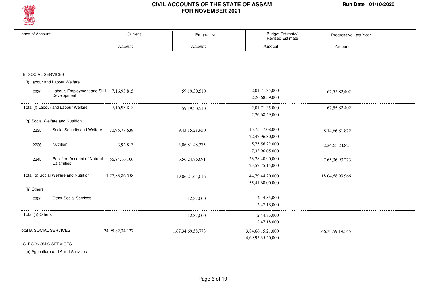

| Heads of Account          |                                                         | Current         | Progressive       | Budget Estimate/<br><b>Revised Estimate</b> | Progressive Last Year |
|---------------------------|---------------------------------------------------------|-----------------|-------------------|---------------------------------------------|-----------------------|
|                           |                                                         | Amount          | Amount            | Amount                                      | Amount                |
|                           |                                                         |                 |                   |                                             |                       |
| <b>B. SOCIAL SERVICES</b> |                                                         |                 |                   |                                             |                       |
|                           | (f) Labour and Labour Welfare                           |                 |                   |                                             |                       |
| 2230                      | Labour, Employment and Skill 7,16,93,815<br>Development |                 | 59, 19, 30, 510   | 2,01,71,35,000<br>2,26,68,59,000            | 67, 55, 82, 402       |
|                           | Total (f) Labour and Labour Welfare                     | 7,16,93,815     | 59, 19, 30, 510   | 2,01,71,35,000<br>2,26,68,59,000            | 67, 55, 82, 402       |
|                           | (g) Social Welfare and Nutrition                        |                 |                   |                                             |                       |
| 2235                      | Social Security and Welfare                             | 70,95,77,639    | 9,43,15,28,950    | 15,75,47,08,000                             | 8,14,66,81,872        |
|                           |                                                         |                 |                   | 22,47,96,80,000                             |                       |
| 2236                      | Nutrition                                               | 3,92,813        | 3,06,81,48,375    | 5,75,56,22,000                              | 2,24,65,24,821        |
|                           |                                                         |                 |                   | 7,35,96,05,000                              |                       |
| 2245                      | Relief on Account of Natural<br>Calamities              | 56,84,16,106    | 6,56,24,86,691    | 23,28,40,90,000                             | 7,65,36,93,273        |
|                           |                                                         |                 |                   | 25, 57, 75, 15, 000                         |                       |
|                           | Total (g) Social Welfare and Nutrition                  | 1,27,83,86,558  | 19,06,21,64,016   | 44,79,44,20,000                             | 18,04,68,99,966       |
|                           |                                                         |                 |                   | 55,41,68,00,000                             |                       |
| (h) Others                |                                                         |                 |                   |                                             |                       |
| 2250                      | <b>Other Social Services</b>                            |                 | 12,87,000         | 2,44,83,000                                 |                       |
|                           |                                                         |                 |                   | 2,47,18,000                                 |                       |
| Total (h) Others          |                                                         |                 | 12,87,000         | 2,44,83,000                                 |                       |
|                           |                                                         |                 |                   | 2,47,18,000                                 |                       |
|                           | Total B. SOCIAL SERVICES                                | 24,98,82,34,127 | 1,67,34,69,58,773 | 3,84,66,15,21,000<br>4,69,95,35,50,000      | 1,66,33,59,19,545     |
|                           | C. ECONOMIC SERVICES                                    |                 |                   |                                             |                       |

(a) Agriculture and Allied Activities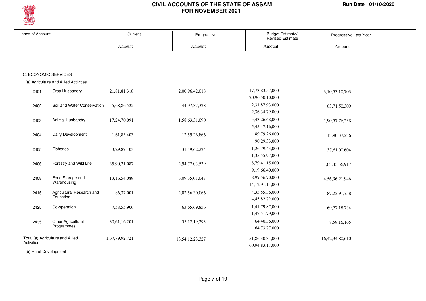

| Heads of Account |                                       | Current         | Progressive     | Budget Estimate/<br>Revised Estimate | Progressive Last Year |
|------------------|---------------------------------------|-----------------|-----------------|--------------------------------------|-----------------------|
|                  |                                       | Amount          | Amount          | Amount                               | Amount                |
|                  |                                       |                 |                 |                                      |                       |
|                  | C. ECONOMIC SERVICES                  |                 |                 |                                      |                       |
|                  | (a) Agriculture and Allied Activities |                 |                 |                                      |                       |
|                  |                                       |                 |                 |                                      |                       |
| 2401             | Crop Husbandry                        | 21,81,81,318    | 2,00,96,42,018  | 17,73,83,57,000                      | 3, 10, 53, 10, 703    |
|                  |                                       |                 |                 | 20,96,50,10,000                      |                       |
| 2402             | Soil and Water Conservation           | 5,68,86,522     | 44,97,37,328    | 2,31,87,93,000                       | 63,71,50,309          |
|                  |                                       |                 |                 | 2,36,34,79,000                       |                       |
| 2403             | Animal Husbandry                      | 17,24,70,091    | 1,58,63,31,090  | 5,43,26,68,000                       | 1,90,57,76,238        |
|                  |                                       |                 |                 | 5,45,47,16,000                       |                       |
| 2404             | Dairy Development                     | 1,61,83,403     | 12,59,26,866    | 89,79,26,000                         | 13,90,37,236          |
|                  |                                       |                 |                 | 90,29,33,000                         |                       |
| 2405             | Fisheries                             | 3,29,87,103     | 31,49,62,224    | 1,26,79,43,000                       | 37,61,00,604          |
|                  |                                       |                 |                 | 1,35,55,97,000                       |                       |
| 2406             | Forestry and Wild Life                | 35,90,21,087    | 2,94,77,03,539  | 8,79,41,15,000                       | 4,03,45,56,917        |
|                  |                                       |                 |                 | 9,19,66,40,000                       |                       |
| 2408             | Food Storage and                      | 13, 16, 54, 089 | 3,09,35,01,047  | 8,99,56,70,000                       | 4,56,96,21,946        |
|                  | Warehousing                           |                 |                 | 14, 12, 91, 14, 000                  |                       |
| 2415             | Agricultural Research and             | 86,37,001       | 2,02,56,30,066  | 4, 35, 55, 36, 000                   | 87, 22, 91, 758       |
|                  | Education                             |                 |                 | 4,45,82,72,000                       |                       |
| 2425             | Co-operation                          | 7,58,55,906     | 63, 65, 69, 856 | 1,41,79,87,000                       | 69,77,18,734          |
|                  |                                       |                 |                 | 1,47,51,79,000                       |                       |
| 2435             | Other Agricultural                    | 30,61,16,201    | 35, 12, 19, 293 | 64,40,36,000                         | 8,59,16,165           |
|                  | Programmes                            |                 |                 | 64,73,77,000                         |                       |
|                  | Total (a) Agriculture and Allied      | 1,37,79,92,721  | 13,54,12,23,327 | 51,86,30,31,000                      | 16,42,34,80,610       |
| Activities       |                                       |                 |                 | 60,94,83,17,000                      |                       |

(b) Rural Development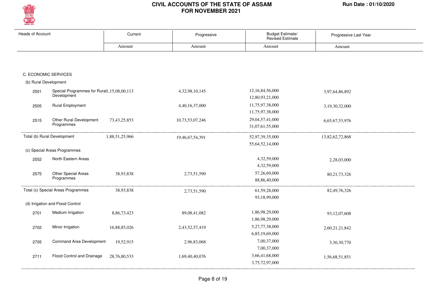

| <b>Heads of Account</b> |                                                           | Current         | Progressive     | Budget Estimate/<br><b>Revised Estimate</b> | Progressive Last Year |
|-------------------------|-----------------------------------------------------------|-----------------|-----------------|---------------------------------------------|-----------------------|
|                         |                                                           | Amount          | Amount          | Amount                                      | Amount                |
|                         |                                                           |                 |                 |                                             |                       |
|                         | C. ECONOMIC SERVICES                                      |                 |                 |                                             |                       |
| (b) Rural Development   |                                                           |                 |                 |                                             |                       |
| 2501                    | Special Programmes for Rural1,15,08,00,113<br>Development |                 | 4,32,98,10,145  | 12,16,84,56,000<br>12,80,93,21,000          | 3,97,64,86,892        |
| 2505                    | <b>Rural Employment</b>                                   |                 | 4,40,16,37,000  | 11,75,97,38,000<br>11,75,97,38,000          | 3,19,30,32,000        |
| 2515                    | Other Rural Development<br>Programmes                     | 73, 43, 25, 853 | 10,73,53,07,246 | 29,04,57,41,000<br>31,07,61,55,000          | 6,65,67,53,976        |
|                         | Total (b) Rural Development                               | 1,88,51,25,966  | 19,46,67,54,391 | 52,97,39,35,000<br>55,64,52,14,000          | 13,82,62,72,868       |
|                         | (c) Special Areas Programmes                              |                 |                 |                                             |                       |
| 2552                    | North Eastern Areas                                       |                 |                 | 4,32,59,000<br>4,32,59,000                  | 2,28,03,000           |
| 2575                    | Other Special Areas<br>Programmes                         | 38,93,838       | 2,73,51,590     | 57,26,69,000<br>88, 86, 40, 000             | 80, 21, 73, 326       |
|                         | Total (c) Special Areas Programmes                        | 38,93,838       | 2,73,51,590     | 61,59,28,000<br>93,18,99,000                | 82, 49, 76, 326       |
|                         | (d) Irrigation and Flood Control                          |                 |                 |                                             |                       |
| 2701                    | Medium Irrigation                                         | 8,86,73,423     | 89,08,41,082    | 1,86,98,29,000<br>1,86,98,29,000            | 93,12,07,608          |
| 2702                    | Minor Irrigation                                          | 16,88,85,026    | 2,43,52,57,419  | 5,27,77,38,000<br>6,85,19,69,000            | 2,60,21,21,842        |
| 2705                    | Command Area Development                                  | 19,52,915       | 2,96,83,068     | 7,00,37,000<br>7,00,37,000                  | 3,36,30,770           |
| 2711                    | Flood Control and Drainage                                | 28,76,80,533    | 1,69,40,40,076  | 3,66,41,68,000<br>3,75,72,97,000            | 1,56,68,51,851        |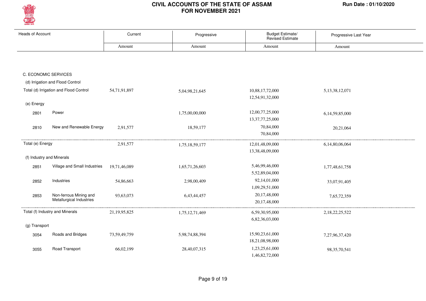

| <b>Heads of Account</b>   |                                                    | Current      | Progressive    | Budget Estimate/<br><b>Revised Estimate</b> | Progressive Last Year |
|---------------------------|----------------------------------------------------|--------------|----------------|---------------------------------------------|-----------------------|
|                           |                                                    | Amount       | Amount         | Amount                                      | Amount                |
|                           |                                                    |              |                |                                             |                       |
| C. ECONOMIC SERVICES      |                                                    |              |                |                                             |                       |
|                           | (d) Irrigation and Flood Control                   |              |                |                                             |                       |
|                           | Total (d) Irrigation and Flood Control             | 54,71,91,897 | 5,04,98,21,645 | 10,88,17,72,000<br>12,54,91,32,000          | 5, 13, 38, 12, 071    |
| (e) Energy                |                                                    |              |                |                                             |                       |
| 2801                      | Power                                              |              | 1,75,00,00,000 | 12,00,77,25,000<br>13, 37, 77, 25, 000      | 6,14,59,85,000        |
| 2810                      | New and Renewable Energy                           | 2,91,577     | 18,59,177      | 70,84,000<br>70,84,000                      | 20,21,064             |
| Total (e) Energy          |                                                    | 2,91,577     | 1,75,18,59,177 | 12,01,48,09,000                             | 6,14,80,06,064        |
| (f) Industry and Minerals |                                                    |              |                | 13,38,48,09,000                             |                       |
| 2851                      | Village and Small Industries                       | 19,71,46,089 | 1,65,71,26,603 | 5,46,99,46,000<br>5,52,89,04,000            | 1,77,48,61,758        |
| 2852                      | Industries                                         | 54,86,663    | 2,98,00,409    | 92,14,01,000<br>1,09,29,51,000              | 33,07,91,405          |
| 2853                      | Non-ferrous Mining and<br>Metallurgical Industries | 93,63,073    | 6,43,44,457    | 20,17,48,000<br>20,17,48,000                | 7,65,72,359           |
|                           | Total (f) Industry and Minerals                    | 21,19,95,825 | 1,75,12,71,469 | 6,59,30,95,000                              | 2,18,22,25,522        |
| (g) Transport             |                                                    |              |                | 6,82,36,03,000                              |                       |
| 3054                      | Roads and Bridges                                  | 73,59,49,759 | 5,98,74,88,394 | 15,90,23,61,000<br>18,21,08,98,000          | 7,27,96,37,420        |
| 3055                      | Road Transport                                     | 66,02,199    | 28,40,07,315   | 1,23,25,61,000<br>1,46,82,72,000            | 98, 35, 70, 541       |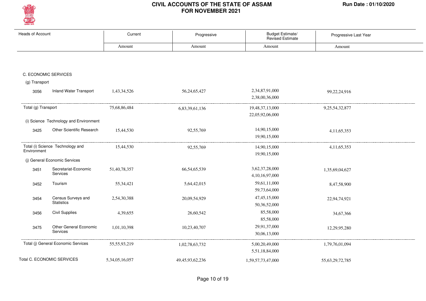

| <b>Heads of Account</b> |                                        | Current        | Progressive         | Budget Estimate/<br><b>Revised Estimate</b> | Progressive Last Year |
|-------------------------|----------------------------------------|----------------|---------------------|---------------------------------------------|-----------------------|
|                         |                                        | Amount         | Amount              | Amount                                      | Amount                |
|                         |                                        |                |                     |                                             |                       |
|                         | C. ECONOMIC SERVICES                   |                |                     |                                             |                       |
| (g) Transport           |                                        |                |                     |                                             |                       |
| 3056                    | <b>Inland Water Transport</b>          | 1,43,34,526    | 56, 24, 65, 427     | 2,34,87,91,000                              | 99,22,24,916          |
|                         |                                        |                |                     | 2,38,00,36,000                              |                       |
| Total (g) Transport     |                                        | 75,68,86,484   | 6,83,39,61,136      | 19,48,37,13,000<br>22,05,92,06,000          | 9, 25, 54, 32, 877    |
|                         | (i) Science Technology and Environment |                |                     |                                             |                       |
| 3425                    | Other Scientific Research              | 15,44,530      | 92,55,769           | 14,90,15,000                                | 4, 11, 65, 353        |
|                         |                                        |                |                     | 19,90,15,000                                |                       |
|                         | Total (i) Science Technology and       | 15,44,530      | 92,55,769           | 14,90,15,000                                | 4, 11, 65, 353        |
| Environment             |                                        |                |                     | 19,90,15,000                                |                       |
|                         | (j) General Economic Services          |                |                     |                                             |                       |
| 3451                    | Secretariat-Economic<br>Services       | 51,40,78,357   | 66, 54, 65, 539     | 3,62,37,28,000                              | 1,35,69,04,627        |
|                         |                                        |                |                     | 4,10,16,97,000                              |                       |
| 3452                    | Tourism                                | 55, 34, 421    | 5,64,42,015         | 59,61,11,000                                | 8,47,58,900           |
|                         |                                        |                |                     | 59,73,64,000                                |                       |
| 3454                    | Census Surveys and                     | 2,54,30,388    | 20,09,54,929        | 47, 45, 15, 000                             | 22,94,74,921          |
|                         | <b>Statistics</b>                      |                |                     | 50,36,52,000                                |                       |
| 3456                    | <b>Civil Supplies</b>                  | 4,39,655       | 26,60,542           | 85,58,000                                   | 34,67,366             |
|                         |                                        |                |                     | 85,58,000                                   |                       |
| 3475                    | <b>Other General Economic</b>          | 1,01,10,398    | 10,23,40,707        | 29,91,37,000                                | 12,29,95,280          |
|                         | <b>Services</b>                        |                |                     | 30,06,13,000                                |                       |
|                         | Total (j) General Economic Services    | 55,55,93,219   | 1,02,78,63,732      | 5,00,20,49,000                              | 1,79,76,01,094        |
|                         |                                        |                |                     | 5,51,18,84,000                              |                       |
|                         | Total C. ECONOMIC SERVICES             | 5,34,05,16,057 | 49, 45, 93, 62, 236 | 1,59,57,73,47,000                           | 55, 63, 29, 72, 785   |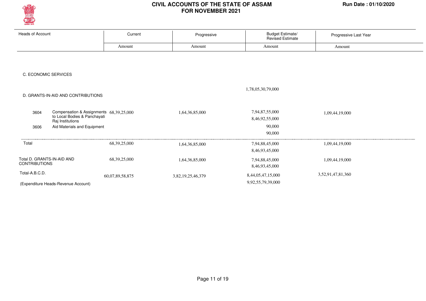

| <b>Heads of Account</b>                            | Current                                 | Progressive       | <b>Budget Estimate/</b><br><b>Revised Estimate</b> | Progressive Last Year |  |
|----------------------------------------------------|-----------------------------------------|-------------------|----------------------------------------------------|-----------------------|--|
|                                                    | Amount                                  | Amount            | Amount                                             | Amount                |  |
|                                                    |                                         |                   |                                                    |                       |  |
|                                                    |                                         |                   |                                                    |                       |  |
| C. ECONOMIC SERVICES                               |                                         |                   |                                                    |                       |  |
|                                                    |                                         |                   |                                                    |                       |  |
|                                                    |                                         |                   | 1,78,05,30,79,000                                  |                       |  |
| D. GRANTS-IN-AID AND CONTRIBUTIONS                 |                                         |                   |                                                    |                       |  |
| 3604                                               | Compensation & Assignments 68,39,25,000 | 1,64,36,85,000    | 7,94,87,55,000                                     | 1,09,44,19,000        |  |
| to Local Bodies & Panchayati<br>Raj Institutions   |                                         |                   | 8,46,92,55,000                                     |                       |  |
| Aid Materials and Equipment<br>3606                |                                         |                   | 90,000                                             |                       |  |
|                                                    |                                         |                   | 90,000                                             |                       |  |
| Total                                              | 68, 39, 25, 000                         | 1,64,36,85,000    | 7,94,88,45,000                                     | 1,09,44,19,000        |  |
|                                                    |                                         |                   | 8,46,93,45,000                                     |                       |  |
| Total D. GRANTS-IN-AID AND<br><b>CONTRIBUTIONS</b> | 68, 39, 25, 000                         | 1,64,36,85,000    | 7,94,88,45,000                                     | 1,09,44,19,000        |  |
|                                                    |                                         |                   | 8,46,93,45,000                                     |                       |  |
| Total-A.B.C.D.                                     | 60,07,89,58,875                         | 3,82,19,25,46,379 | 8,44,05,47,15,000                                  | 3,52,91,47,81,360     |  |
| (Expenditure Heads-Revenue Account)                |                                         |                   | 9,92,55,79,39,000                                  |                       |  |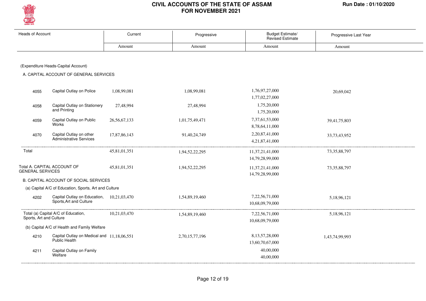

| <b>Heads of Account</b> |                                                                      | Current      | Progressive    | <b>Budget Estimate/</b><br><b>Revised Estimate</b> | Progressive Last Year |
|-------------------------|----------------------------------------------------------------------|--------------|----------------|----------------------------------------------------|-----------------------|
|                         |                                                                      | Amount       | Amount         | Amount                                             | Amount                |
|                         |                                                                      |              |                |                                                    |                       |
|                         | (Expenditure Heads-Capital Account)                                  |              |                |                                                    |                       |
|                         | A. CAPITAL ACCOUNT OF GENERAL SERVICES                               |              |                |                                                    |                       |
|                         |                                                                      |              |                |                                                    |                       |
| 4055                    | Capital Outlay on Police                                             | 1,08,99,081  | 1,08,99,081    | 1,76,97,27,000<br>1,77,02,27,000                   | 20,69,042             |
| 4058                    | Capital Outlay on Stationery<br>and Printing                         | 27,48,994    | 27,48,994      | 1,75,20,000<br>1,75,20,000                         |                       |
| 4059                    | Capital Outlay on Public<br>Works                                    | 26,56,67,133 | 1,01,75,49,471 | 7,37,61,53,000<br>8,78,64,11,000                   | 39,41,75,803          |
| 4070                    | Capital Outlay on other<br>Administrative Services                   | 17,87,86,143 | 91,40,24,749   | 2,20,87,41,000<br>4,21,87,41,000                   | 33,73,43,952          |
| Total                   |                                                                      | 45,81,01,351 | 1,94,52,22,295 | 11, 37, 21, 41, 000                                | 73, 35, 88, 797       |
|                         |                                                                      |              |                | 14,79,28,99,000                                    |                       |
| <b>GENERAL SERVICES</b> | Total A. CAPITAL ACCOUNT OF                                          | 45,81,01,351 | 1,94,52,22,295 | 11,37,21,41,000<br>14,79,28,99,000                 | 73, 35, 88, 797       |
|                         | B. CAPITAL ACCOUNT OF SOCIAL SERVICES                                |              |                |                                                    |                       |
|                         | (a) Capital A/C of Education, Sports, Art and Culture                |              |                |                                                    |                       |
| 4202                    | Capital Outlay on Education, 10,21,03,470<br>Sports, Art and Culture |              | 1,54,89,19,460 | 7,22,56,71,000<br>10,68,09,79,000                  | 5,18,96,121           |
| Sports, Art and Culture | Total (a) Capital A/C of Education,                                  | 10,21,03,470 | 1,54,89,19,460 | 7,22,56,71,000<br>10,68,09,79,000                  | 5,18,96,121           |
|                         | (b) Capital A/C of Health and Family Welfare                         |              |                |                                                    |                       |
| 4210                    | Capital Outlay on Medical and 11,18,06,551<br>Public Health          |              | 2,70,15,77,196 | 8, 13, 57, 28, 000<br>13,60,70,67,000              | 1,43,74,99,993        |
| 4211                    | Capital Outlay on Family<br>Welfare                                  |              |                | 40,00,000<br>40,00,000                             |                       |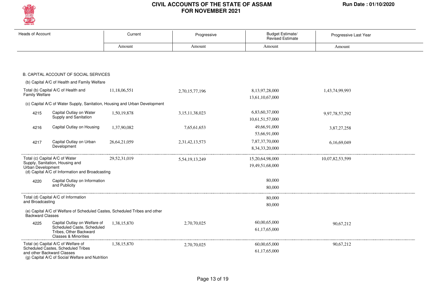

| <b>Heads of Account</b> |                                                                                         | Current                                                                    | Progressive        | <b>Budget Estimate/</b><br><b>Revised Estimate</b> | Progressive Last Year |
|-------------------------|-----------------------------------------------------------------------------------------|----------------------------------------------------------------------------|--------------------|----------------------------------------------------|-----------------------|
|                         |                                                                                         | Amount                                                                     | Amount             | Amount                                             | Amount                |
|                         |                                                                                         |                                                                            |                    |                                                    |                       |
|                         |                                                                                         |                                                                            |                    |                                                    |                       |
|                         | B. CAPITAL ACCOUNT OF SOCIAL SERVICES                                                   |                                                                            |                    |                                                    |                       |
|                         | (b) Capital A/C of Health and Family Welfare                                            |                                                                            |                    |                                                    |                       |
| Family Welfare          | Total (b) Capital A/C of Health and                                                     | 11,18,06,551                                                               | 2,70,15,77,196     | 8,13,97,28,000                                     | 1,43,74,99,993        |
|                         |                                                                                         | (c) Capital A/C of Water Supply, Sanitation, Housing and Urban Development |                    | 13,61,10,67,000                                    |                       |
|                         |                                                                                         |                                                                            |                    |                                                    |                       |
| 4215                    | Capital Outlay on Water<br>Supply and Sanitation                                        | 1,50,19,878                                                                | 3,15,11,38,023     | 6,83,60,37,000                                     | 9,97,78,57,292        |
|                         |                                                                                         |                                                                            |                    | 10,61,51,57,000                                    |                       |
| 4216                    | Capital Outlay on Housing                                                               | 1,37,90,082                                                                | 7,65,61,653        | 49,66,91,000                                       | 3,87,27,258           |
|                         |                                                                                         |                                                                            |                    | 53,66,91,000                                       |                       |
| 4217                    | Capital Outlay on Urban<br>Development                                                  | 26, 64, 21, 059                                                            | 2,31,42,13,573     | 7,87,37,70,000<br>8, 34, 33, 20, 000               | 6,16,69,049           |
|                         |                                                                                         |                                                                            |                    |                                                    |                       |
|                         | Total (c) Capital A/C of Water<br>Supply, Sanitation, Housing and                       | 29,52,31,019                                                               | 5, 54, 19, 13, 249 | 15,20,64,98,000                                    | 10,07,82,53,599       |
| Urban Development       |                                                                                         |                                                                            |                    | 19,49,51,68,000                                    |                       |
|                         | (d) Capital A/C of Information and Broadcasting                                         |                                                                            |                    |                                                    |                       |
| 4220                    | Capital Outlay on Information<br>and Publicity                                          |                                                                            |                    | 80,000                                             |                       |
|                         |                                                                                         |                                                                            |                    | 80,000                                             |                       |
|                         | Total (d) Capital A/C of Information                                                    |                                                                            |                    | 80,000                                             |                       |
| and Broadcasting        |                                                                                         |                                                                            |                    | 80,000                                             |                       |
| <b>Backward Classes</b> |                                                                                         | (e) Capital A/C of Welfare of Scheduled Castes, Scheduled Tribes and other |                    |                                                    |                       |
| 4225                    | Capital Outlay on Welfare of                                                            | 1,38,15,870                                                                | 2,70,70,025        | 60,00,65,000                                       | 90,67,212             |
|                         | Scheduled Caste, Scheduled<br>Tribes, Other Backward<br><b>Classes &amp; Minorities</b> |                                                                            |                    | 61,17,65,000                                       |                       |
|                         | Total (e) Capital A/C of Welfare of                                                     | 1,38,15,870                                                                | 2,70,70,025        | 60,00,65,000                                       | 90,67,212             |
|                         | Scheduled Castes, Scheduled Tribes<br>and other Backward Classes                        |                                                                            |                    | 61,17,65,000                                       |                       |
|                         | (g) Capital A/C of Social Welfare and Nutrition                                         |                                                                            |                    |                                                    |                       |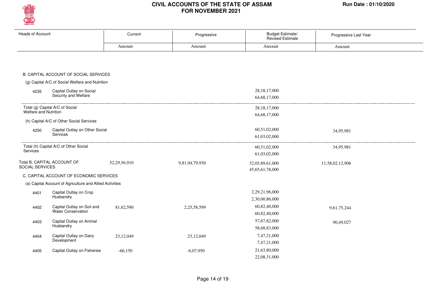

| <b>Heads of Account</b>                                  | Current      | Progressive    | <b>Budget Estimate/</b><br><b>Revised Estimate</b> | Progressive Last Year |
|----------------------------------------------------------|--------------|----------------|----------------------------------------------------|-----------------------|
|                                                          | Amount       | Amount         | Amount                                             | Amount                |
|                                                          |              |                |                                                    |                       |
|                                                          |              |                |                                                    |                       |
|                                                          |              |                |                                                    |                       |
| B. CAPITAL ACCOUNT OF SOCIAL SERVICES                    |              |                |                                                    |                       |
| (g) Capital A/C of Social Welfare and Nutrition          |              |                |                                                    |                       |
| Capital Outlay on Social<br>4235                         |              |                | 28, 18, 17, 000                                    |                       |
| Security and Welfare                                     |              |                | 64, 68, 17, 000                                    |                       |
| Total (g) Capital A/C of Social                          |              |                | 28, 18, 17, 000                                    |                       |
| Welfare and Nutrition                                    |              |                | 64, 68, 17, 000                                    |                       |
| (h) Capital A/C of Other Social Services                 |              |                |                                                    |                       |
| Capital Outlay on Other Social<br>4250                   |              |                | 60,51,02,000                                       | 34,95,981             |
| Services                                                 |              |                | 61,03,02,000                                       |                       |
|                                                          |              |                |                                                    |                       |
| Total (h) Capital A/C of Other Social<br>Services        |              |                | 60,51,02,000                                       | 34,95,981             |
|                                                          |              |                | 61,03,02,000                                       |                       |
| Total B. CAPITAL ACCOUNT OF<br>SOCIAL SERVICES           | 52,29,56,910 | 9,81,94,79,930 | 32,05,89,61,000                                    | 11,58,02,12,906       |
|                                                          |              |                | 45,65,61,78,000                                    |                       |
| C. CAPITAL ACCOUNT OF ECONOMIC SERVICES                  |              |                |                                                    |                       |
| (a) Capital Account of Agriculture and Allied Activities |              |                |                                                    |                       |
| Capital Outlay on Crop<br>4401                           |              |                | 2,29,21,96,000                                     |                       |
| Husbandry                                                |              |                | 2,30,00,86,000                                     |                       |
| Capital Outlay on Soil and<br>4402                       | 81,62,590    | 2,25,58,599    | 60,82,40,000                                       | 9,61,75,244           |
| <b>Water Conservation</b>                                |              |                | 60,82,40,000                                       |                       |
| Capital Outlay on Animal<br>4403                         |              |                | 57,67,82,000                                       | 90,49,027             |
| Husbandry                                                |              |                | 58,68,83,000                                       |                       |
| Capital Outlay on Dairy<br>4404                          | 23,12,049    | 23,12,049      | 7,47,21,000                                        |                       |
| Development                                              |              |                | 7,47,21,000                                        |                       |
| Capital Outlay on Fisheries<br>4405                      | $-66,150$    | $-6,07,950$    | 21,63,80,000                                       |                       |
|                                                          |              |                | 22,08,31,000                                       |                       |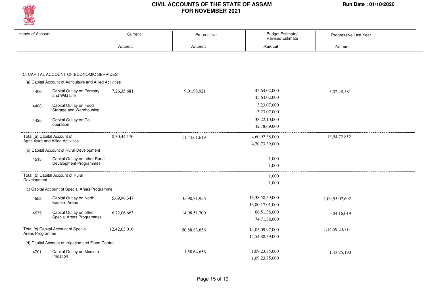

| <b>Heads of Account</b> |                                                                          | Current        | Progressive  | Budget Estimate/<br><b>Revised Estimate</b> | Progressive Last Year |
|-------------------------|--------------------------------------------------------------------------|----------------|--------------|---------------------------------------------|-----------------------|
|                         |                                                                          | Amount         | Amount       | Amount                                      | Amount                |
|                         |                                                                          |                |              |                                             |                       |
|                         | C. CAPITAL ACCOUNT OF ECONOMIC SERVICES                                  |                |              |                                             |                       |
|                         | (a) Capital Account of Agriculture and Allied Activities                 |                |              |                                             |                       |
| 4406                    | Capital Outlay on Forestry<br>and Wild Life                              | 7,26,35,681    | 9,01,98,921  | 42,64,02,000<br>45,64,02,000                | 3,02,48,581           |
| 4408                    | Capital Outlay on Food<br>Storage and Warehousing                        |                |              | 3,23,07,000<br>3,23,07,000                  |                       |
| 4425                    | Capital Outlay on Co-<br>operation                                       |                |              | 38,22,10,000<br>42,78,69,000                |                       |
|                         | Total (a) Capital Account of<br><b>Agriculture and Allied Activities</b> | 8, 30, 44, 170 | 11,44,61,619 | 4,60,92,38,000<br>4,70,73,39,000            | 13,54,72,852          |
|                         | (b) Capital Account of Rural Development                                 |                |              |                                             |                       |
| 4515                    | Capital Outlay on other Rural<br>Devalopment Programmes                  |                |              | 1,000<br>1,000                              |                       |
| Development             | Total (b) Capital Account of Rural                                       |                |              | 1,000<br>1,000                              |                       |
|                         | (c) Capital Account of Special Areas Programme                           |                |              |                                             |                       |
| 4552                    | Capital Outlay on North<br>Eastern Areas                                 | 5,69,96,347    | 35,90,31,956 | 13,38,58,59,000<br>13,80,17,01,000          | 1,09,55,07,692        |
| 4575                    | Capital Outlay on other<br>Special Areas Programmes                      | 6,72,06,663    | 14,98,51,700 | 66,51,38,000<br>74,71,38,000                | 5,04,16,019           |
| Areas Programme         | Total (c) Capital Account of Special                                     | 12,42,03,010   | 50,88,83,656 | 14,05,09,97,000<br>14,54,88,39,000          | 1,14,59,23,711        |
|                         | (d) Capital Account of Irrigation and Flood Control                      |                |              |                                             |                       |
| 4701                    | Capital Outlay on Medium<br>Irrigation                                   |                | 1,58,64,656  | 1,09,23,75,000<br>1,09,23,75,000            | 1,43,25,190           |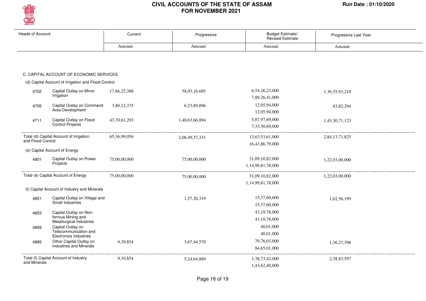

| <b>Heads of Account</b> |                                                                          | Current         | Progressive    | Budget Estimate/<br><b>Revised Estimate</b> | Progressive Last Year |
|-------------------------|--------------------------------------------------------------------------|-----------------|----------------|---------------------------------------------|-----------------------|
|                         |                                                                          | Amount          | Amount         | Amount                                      | Amount                |
|                         |                                                                          |                 |                |                                             |                       |
|                         | C. CAPITAL ACCOUNT OF ECONOMIC SERVICES                                  |                 |                |                                             |                       |
|                         | (d) Capital Account of Irrigation and Flood Control                      |                 |                |                                             |                       |
| 4702                    | Capital Outlay on Minor<br>Irrigation                                    | 17,86,25,388    | 58,03,16,685   | 6,54,26,23,000<br>7,89,26,41,000            | 1,36,55,93,218        |
| 4705                    | Capital Outlay on Command<br>Area Development                            | 3,80,12,375     | 6,23,89,096    | 12,05,94,000<br>12,05,94,000                | 83, 82, 294           |
| 4711                    | Capital Outlay on Flood<br>Control Projects                              | 43,70,61,293    | 1,40,63,66,894 | 5,87,97,69,000<br>7,33,30,69,000            | 1,45,30,71,123        |
| and Flood Control       | Total (d) Capital Account of Irrigation                                  | 65, 36, 99, 056 | 2,06,49,37,331 | 13,63,53,61,000<br>16,43,86,79,000          | 2,84,13,71,825        |
|                         | (e) Capital Account of Energy                                            |                 |                |                                             |                       |
| 4801                    | Capital Outlay on Power<br>Projects                                      | 75,00,00,000    | 75,00,00,000   | 31,09,10,82,000<br>1,14,99,81,78,000        | 1,22,03,00,000        |
|                         | Total (e) Capital Account of Energy                                      | 75,00,00,000    | 75,00,00,000   | 31,09,10,82,000<br>1,14,99,81,78,000        | 1,22,03,00,000        |
|                         | (f) Capital Account of Industry and Minerals                             |                 |                |                                             |                       |
| 4851                    | Capital Outlay on Village and<br>Small Industries                        |                 | 1,57,20,319    | 15,37,60,000<br>15,37,60,000                | 1,02,56,199           |
| 4853                    | Capital Outlay on Non-<br>ferrous Mining and<br>Metallurgical Industries |                 |                | 43, 19, 78, 000<br>43, 19, 78, 000          |                       |
| 4859                    | Capital Outlay on<br>Telecommunication and<br>Electronics Industries     |                 |                | 40,01,000<br>40,01,000                      |                       |
| 4885                    | Other Capital Outlay on<br><b>Industries and Minerals</b>                | 9,39,854        | 3,67,44,570    | 79,76,03,000<br>84,65,01,000                | 1,36,27,398           |
| and Minerals            | Total (f) Capital Account of Industry                                    | 9,39,854        | 5,24,64,889    | 1,38,73,42,000<br>1,43,62,40,000            | 2,38,83,597           |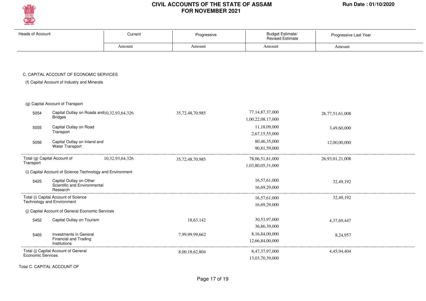

| <b>Heads of Account</b> |                                                                                         | Current         | Progressive     | <b>Budget Estimate/</b><br>Revised Estimate | Progressive Last Year |
|-------------------------|-----------------------------------------------------------------------------------------|-----------------|-----------------|---------------------------------------------|-----------------------|
|                         |                                                                                         | Amount          | Amount          | Amount                                      | Amount                |
|                         | C. CAPITAL ACCOUNT OF ECONOMIC SERVICES<br>(f) Capital Account of Industry and Minerals |                 |                 |                                             |                       |
|                         | (g) Capital Account of Transport                                                        |                 |                 |                                             |                       |
| 5054                    | Capital Outlay on Roads and 10, 32, 93, 64, 326<br><b>Bridges</b>                       |                 | 35,72,48,70,985 | 77, 14, 87, 37, 000<br>1,00,22,08,17,000    | 26,77,51,61,008       |
| 5055                    | Capital Outlay on Road<br>Transport                                                     |                 |                 | 11,18,09,000<br>2,67,15,55,000              | 3,49,60,000           |
| 5056                    | Capital Outlay on Inland and<br>Water Transport                                         |                 |                 | 80,46,35,000<br>90,81,59,000                | 12,00,00,000          |
| Transport               | Total (g) Capital Account of                                                            | 10,32,93,64,326 | 35,72,48,70,985 | 78,06,51,81,000<br>1,03,80,05,31,000        | 26,93,01,21,008       |
|                         | (i) Capital Account of Science Technology and Environment                               |                 |                 |                                             |                       |
| 5425                    | Capital Outlay on Other<br>Scientific and Environmental<br>Research                     |                 |                 | 16,57,61,000<br>16,69,29,000                | 32,49,192             |
|                         | Total (i) Capital Account of Science<br>Technology and Environment                      |                 |                 | 16,57,61,000<br>16,69,29,000                | 32,49,192             |
|                         | (j) Capital Account of General Economic Services                                        |                 |                 |                                             |                       |
| 5452                    | Capital Outlay on Tourism                                                               |                 | 18,63,142       | 30,53,97,000<br>36,86,39,000                | 4,37,69,447           |
| 5465                    | Investments in General<br>Financial and Trading<br>Institutions                         |                 | 7,99,99,99,662  | 8,16,84,00,000<br>12,66,84,00,000           | 8,24,957              |
| Economic Services       | Total (j) Capital Account of General                                                    |                 | 8,00,18,62,804  | 8,47,37,97,000<br>13,03,70,39,000           | 4,45,94,404           |

Total C. CAPITAL ACCOUNT OF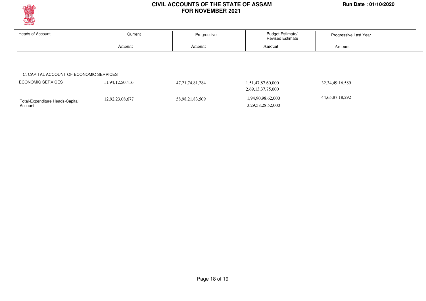

Account

#### **CIVIL ACCOUNTS OF THE STATE OF ASSAM Run Date : 01/10/2020 FOR NOVEMBER 2021**

| <b>Heads of Account</b>                 | Current         | Progressive         | <b>Budget Estimate/</b><br><b>Revised Estimate</b> | Progressive Last Year |
|-----------------------------------------|-----------------|---------------------|----------------------------------------------------|-----------------------|
|                                         | Amount          | Amount              | Amount                                             | Amount                |
|                                         |                 |                     |                                                    |                       |
|                                         |                 |                     |                                                    |                       |
| C. CAPITAL ACCOUNT OF ECONOMIC SERVICES |                 |                     |                                                    |                       |
|                                         |                 |                     |                                                    |                       |
| <b>ECONOMIC SERVICES</b>                | 11,94,12,50,416 | 47, 21, 74, 81, 284 | 1,51,47,87,60,000                                  | 32, 34, 49, 16, 589   |
|                                         |                 |                     | 2,69,13,37,75,000                                  |                       |

3,29,58,28,52,000

Page 18 of 19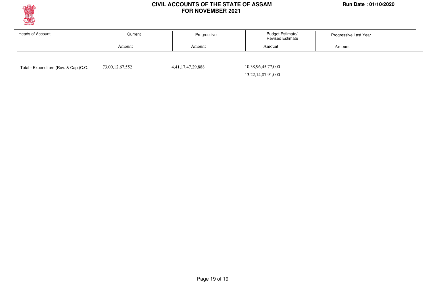

| Heads of Account | Current | Progressive | <b>Budget Estimate/</b><br><b>Revised Estimate</b> | Progressive Last Year |
|------------------|---------|-------------|----------------------------------------------------|-----------------------|
|                  | Amount  | Amount      | Amount                                             | Amount                |
|                  |         |             |                                                    |                       |

Total - Expenditure.(Rev. & Cap.)C.O. 73,00,12,67,552 4,41,17,47,29,888

 10,38,96,45,77,000 13,22,14,07,91,000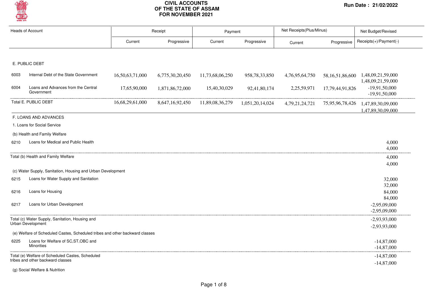

| <b>Heads of Account</b> |                                                                              |                 | Receipt         |                 | Payment          | Net Receipts(Plus/Minus) |                 | Net Budget/Revised                                     |
|-------------------------|------------------------------------------------------------------------------|-----------------|-----------------|-----------------|------------------|--------------------------|-----------------|--------------------------------------------------------|
|                         |                                                                              | Current         | Progressive     | Current         | Progressive      | Current                  | Progressive     | Receipts(+)/Payment(-)                                 |
|                         |                                                                              |                 |                 |                 |                  |                          |                 |                                                        |
|                         | E. PUBLIC DEBT                                                               |                 |                 |                 |                  |                          |                 |                                                        |
| 6003                    | Internal Debt of the State Government                                        | 16,50,63,71,000 | 6,775,30,20,450 | 11,73,68,06,250 | 958, 78, 33, 850 | 4,76,95,64,750           |                 | 58,16,51,86,600 1,48,09,21,59,000<br>1,48,09,21,59,000 |
| 6004                    | Loans and Advances from the Central<br>Government                            | 17,65,90,000    | 1,871,86,72,000 | 15,40,30,029    | 92,41,80,174     | 2,25,59,971              | 17,79,44,91,826 | $-19,91,50,000$<br>$-19,91,50,000$                     |
|                         | Total E. PUBLIC DEBT                                                         | 16,68,29,61,000 | 8,647,16,92,450 | 11,89,08,36,279 | 1,051,20,14,024  | 4,79,21,24,721           | 75,95,96,78,426 | 1,47,89,30,09,000<br>1,47,89,30,09,000                 |
|                         | F. LOANS AND ADVANCES                                                        |                 |                 |                 |                  |                          |                 |                                                        |
|                         | 1. Loans for Social Service                                                  |                 |                 |                 |                  |                          |                 |                                                        |
|                         | (b) Health and Family Welfare                                                |                 |                 |                 |                  |                          |                 |                                                        |
| 6210                    | Loans for Medical and Public Health                                          |                 |                 |                 |                  |                          |                 | 4,000<br>4,000                                         |
|                         | Total (b) Health and Family Welfare                                          |                 |                 |                 |                  |                          |                 | 4,000                                                  |
|                         |                                                                              |                 |                 |                 |                  |                          |                 | 4,000                                                  |
|                         | (c) Water Supply, Sanitation, Housing and Urban Development                  |                 |                 |                 |                  |                          |                 |                                                        |
| 6215                    | Loans for Water Supply and Sanitation                                        |                 |                 |                 |                  |                          |                 | 32,000                                                 |
| 6216                    | Loans for Housing                                                            |                 |                 |                 |                  |                          |                 | 32,000<br>84,000<br>84,000                             |
| 6217                    | Loans for Urban Development                                                  |                 |                 |                 |                  |                          |                 | $-2,95,09,000$<br>$-2,95,09,000$                       |
|                         | Total (c) Water Supply, Sanitation, Housing and<br>Urban Development         |                 |                 |                 |                  |                          |                 | $-2,93,93,000$                                         |
|                         |                                                                              |                 |                 |                 |                  |                          |                 | $-2,93,93,000$                                         |
|                         | (e) Welfare of Scheduled Castes, Scheduled tribes and other backward classes |                 |                 |                 |                  |                          |                 |                                                        |
| 6225                    | Loans for Welfare of SC, ST, OBC and<br><b>Minorities</b>                    |                 |                 |                 |                  |                          |                 | $-14,87,000$<br>$-14,87,000$                           |
|                         | Total (e) Welfare of Scheduled Castes, Scheduled                             |                 |                 |                 |                  |                          |                 | $-14,87,000$                                           |
|                         | tribes and other backward classes                                            |                 |                 |                 |                  |                          |                 | $-14,87,000$                                           |

(g) Social Welfare & Nutrition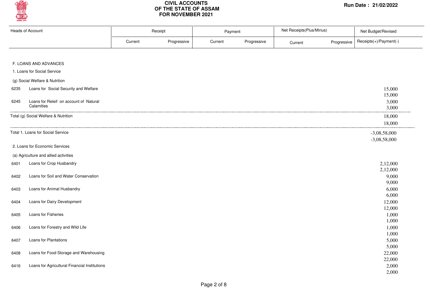

| <b>Heads of Account</b> |                                                      | Receipt |             | Payment |             | Net Receipts(Plus/Minus) |             | Net Budget/Revised               |
|-------------------------|------------------------------------------------------|---------|-------------|---------|-------------|--------------------------|-------------|----------------------------------|
|                         |                                                      | Current | Progressive | Current | Progressive | Current                  | Progressive | Receipts(+)/Payment(-)           |
|                         | F. LOANS AND ADVANCES                                |         |             |         |             |                          |             |                                  |
|                         | 1. Loans for Social Service                          |         |             |         |             |                          |             |                                  |
|                         | (g) Social Welfare & Nutrition                       |         |             |         |             |                          |             |                                  |
| 6235                    | Loans for Social Security and Welfare                |         |             |         |             |                          |             | 15,000<br>15,000                 |
| 6245                    | Loans for Releif on account of Natural<br>Calamities |         |             |         |             |                          |             | 3,000<br>3,000                   |
|                         | Total (g) Social Welfare & Nutrition                 |         |             |         |             |                          |             | 18,000<br>18,000                 |
|                         | Total 1. Loans for Social Service                    |         |             |         |             |                          |             | $-3,08,58,000$<br>$-3,08,58,000$ |
|                         | 2. Loans for Economic Services                       |         |             |         |             |                          |             |                                  |
|                         | (a) Agriculture and allied activities                |         |             |         |             |                          |             |                                  |
| 6401                    | Loans for Crop Husbandry                             |         |             |         |             |                          |             | 2,12,000<br>2,12,000             |
| 6402                    | Loans for Soil and Water Conservation                |         |             |         |             |                          |             | 9,000<br>9,000                   |
| 6403                    | Loans for Animal Husbandry                           |         |             |         |             |                          |             | 6,000                            |
| 6404                    | Loans for Dairy Development                          |         |             |         |             |                          |             | 6,000<br>12,000                  |
| 6405                    | Loans for Fisheries                                  |         |             |         |             |                          |             | 12,000<br>1,000<br>1,000         |
| 6406                    | Loans for Forestry and Wild Life                     |         |             |         |             |                          |             | 1,000<br>1,000                   |
| 6407                    | Loans for Plantations                                |         |             |         |             |                          |             | 5,000                            |
| 6408                    | Loans for Food Storage and Warehousing               |         |             |         |             |                          |             | 5,000<br>22,000                  |
| 6416                    | Loans for Agricultural Financial Institutions        |         |             |         |             |                          |             | 22,000<br>2,000<br>2,000         |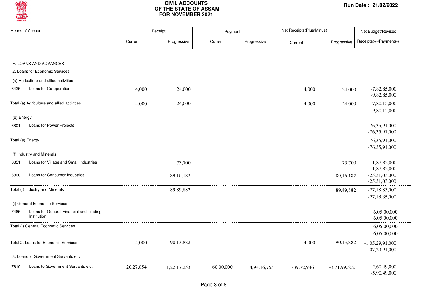

|            | <b>Heads of Account</b>                     |           | Receipt     | Payment   |             | Net Receipts(Plus/Minus) |                | Net Budget/Revised                 |
|------------|---------------------------------------------|-----------|-------------|-----------|-------------|--------------------------|----------------|------------------------------------|
|            |                                             | Current   | Progressive | Current   | Progressive | Current                  | Progressive    | Receipts(+)/Payment(-)             |
|            |                                             |           |             |           |             |                          |                |                                    |
|            | F. LOANS AND ADVANCES                       |           |             |           |             |                          |                |                                    |
|            | 2. Loans for Economic Services              |           |             |           |             |                          |                |                                    |
|            | (a) Agriculture and allied activities       |           |             |           |             |                          |                |                                    |
| 6425       | Loans for Co-operation                      | 4,000     | 24,000      |           |             | 4,000                    | 24,000         | $-7,82,85,000$<br>$-9,82,85,000$   |
|            | Total (a) Agriculture and allied activities | 4,000     | 24,000      |           |             | 4,000                    | 24,000         | $-7,80,15,000$                     |
|            |                                             |           |             |           |             |                          |                | $-9,80,15,000$                     |
| (e) Energy |                                             |           |             |           |             |                          |                |                                    |
| 6801       | Loans for Power Projects                    |           |             |           |             |                          |                | $-76,35,91,000$                    |
|            |                                             |           |             |           |             |                          |                | $-76,35,91,000$                    |
|            | Total (e) Energy                            |           |             |           |             |                          |                | $-76,35,91,000$                    |
|            |                                             |           |             |           |             |                          |                | $-76,35,91,000$                    |
|            | (f) Industry and Minerals                   |           |             |           |             |                          |                |                                    |
| 6851       | Loans for Village and Small Industries      |           | 73,700      |           |             |                          | 73,700         | $-1,87,82,000$                     |
|            |                                             |           |             |           |             |                          |                | $-1,87,82,000$                     |
| 6860       | Loans for Consumer Industries               |           | 89,16,182   |           |             |                          | 89, 16, 182    | $-25,31,03,000$<br>$-25,31,03,000$ |
|            |                                             |           |             |           |             |                          |                |                                    |
|            | Total (f) Industry and Minerals             |           | 89,89,882   |           |             |                          | 89,89,882      | $-27,18,85,000$<br>$-27,18,85,000$ |
|            | (i) General Economic Services               |           |             |           |             |                          |                |                                    |
| 7465       | Loans for General Financial and Trading     |           |             |           |             |                          |                | 6,05,00,000                        |
|            | Institution                                 |           |             |           |             |                          |                | 6,05,00,000                        |
|            | Total (i) General Economic Services         |           |             |           |             |                          |                | 6,05,00,000                        |
|            |                                             |           |             |           |             |                          |                | 6,05,00,000                        |
|            | Total 2. Loans for Economic Services        | 4,000     | 90,13,882   |           |             | 4,000                    | 90,13,882      | $-1,05,29,91,000$                  |
|            |                                             |           |             |           |             |                          |                | $-1,07,29,91,000$                  |
|            | 3. Loans to Government Servants etc.        |           |             |           |             |                          |                |                                    |
| 7610       | Loans to Government Servants etc.           | 20,27,054 | 1,22,17,253 | 60,00,000 | 4,94,16,755 | $-39,72,946$             | $-3,71,99,502$ | $-2,60,49,000$                     |
|            |                                             |           |             |           |             |                          |                | $-5,90,49,000$                     |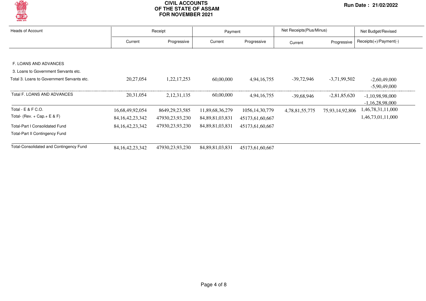

| <b>Heads of Account</b>                    |                     | Receipt           |                     | Payment           | Net Receipts (Plus/Minus) |                 | Net Budget/Revised       |  |
|--------------------------------------------|---------------------|-------------------|---------------------|-------------------|---------------------------|-----------------|--------------------------|--|
|                                            | Current             | Progressive       | Current             | Progressive       | Current                   | Progressive     | $Receipts(+)/Payment(-)$ |  |
|                                            |                     |                   |                     |                   |                           |                 |                          |  |
| F. LOANS AND ADVANCES                      |                     |                   |                     |                   |                           |                 |                          |  |
| 3. Loans to Government Servants etc.       |                     |                   |                     |                   |                           |                 |                          |  |
| Total 3. Loans to Government Servants etc. | 20,27,054           | 1,22,17,253       | 60,00,000           | 4,94,16,755       | $-39,72,946$              | $-3,71,99,502$  | $-2,60,49,000$           |  |
|                                            |                     |                   |                     |                   |                           |                 | $-5.90.49.000$           |  |
| Total F. LOANS AND ADVANCES                | 20,31,054           | 2, 12, 31, 135    | 60,00,000           | 4,94,16,755       | -39,68,946                | $-2,81,85,620$  | $-1,10,98,98,000$        |  |
|                                            |                     |                   |                     |                   |                           |                 | $-1,16,28,98,000$        |  |
| Total - E & F C.O.                         | 16,68,49,92,054     | 8649, 29, 23, 585 | 11,89,68,36,279     | 1056, 14, 30, 779 | 4,78,81,55,775            | 75,93,14,92,806 | 1,46,78,31,11,000        |  |
| Total- (Rev. + Cap. + E & F)               | 84, 16, 42, 23, 342 | 47930,23,93,230   | 84, 89, 81, 03, 831 | 45173,61,60,667   |                           |                 | 1,46,73,01,11,000        |  |
| <b>Total-Part I Consolidated Fund</b>      | 84, 16, 42, 23, 342 | 47930,23,93,230   | 84, 89, 81, 03, 831 | 45173,61,60,667   |                           |                 |                          |  |
| <b>Total-Part II Contingency Fund</b>      |                     |                   |                     |                   |                           |                 |                          |  |
| Total-Consolidated and Contingency Fund    | 84, 16, 42, 23, 342 | 47930,23,93,230   | 84, 89, 81, 03, 831 | 45173,61,60,667   |                           |                 |                          |  |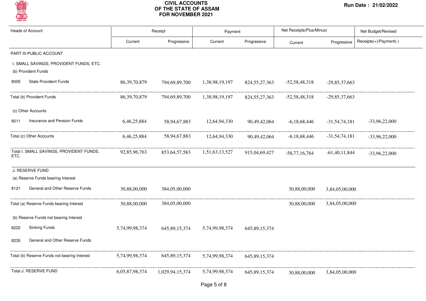

| <b>Heads of Account</b> |                                                                |                 | Receipt          | Payment        |                  | Net Receipts(Plus/Minus) |                 | Net Budget/Revised     |  |
|-------------------------|----------------------------------------------------------------|-----------------|------------------|----------------|------------------|--------------------------|-----------------|------------------------|--|
|                         |                                                                | Current         | Progressive      | Current        | Progressive      | Current                  | Progressive     | Receipts(+)/Payment(-) |  |
|                         | PART III-PUBLIC ACCOUNT                                        |                 |                  |                |                  |                          |                 |                        |  |
|                         | I. SMALL SAVINGS, PROVIDENT FUNDS, ETC.<br>(b) Provident Funds |                 |                  |                |                  |                          |                 |                        |  |
| 8005                    | <b>State Provident Funds</b>                                   | 86, 39, 70, 879 | 794,69,89,700    | 1,38,98,19,197 | 824, 55, 27, 363 | $-52,58,48,318$          | $-29,85,37,663$ |                        |  |
|                         | Total (b) Provident Funds                                      | 86, 39, 70, 879 | 794,69,89,700    | 1,38,98,19,197 | 824, 55, 27, 363 | $-52,58,48,318$          | $-29,85,37,663$ |                        |  |
|                         | (c) Other Accounts                                             |                 |                  |                |                  |                          |                 |                        |  |
| 8011                    | Insurance and Pension Funds                                    | 6,46,25,884     | 58,94,67,883     | 12,64,94,330   | 90,49,42,064     | $-6,18,68,446$           | $-31,54,74,181$ | $-33,96,22,000$        |  |
|                         | Total (c) Other Accounts                                       | 6,46,25,884     | 58,94,67,883     | 12,64,94,330   | 90,49,42,064     | $-6,18,68,446$           | $-31,54,74,181$ | $-33,96,22,000$        |  |
| ETC.                    | Total I. SMALL SAVINGS, PROVIDENT FUNDS,                       | 92,85,96,763    | 853, 64, 57, 583 | 1,51,63,13,527 | 915,04,69,427    | $-58,77,16,764$          | $-61,40,11,844$ | $-33,96,22,000$        |  |
|                         | J. RESERVE FUND                                                |                 |                  |                |                  |                          |                 |                        |  |
|                         | (a) Reserve Funds bearing Interest                             |                 |                  |                |                  |                          |                 |                        |  |
| 8121                    | General and Other Reserve Funds                                | 30,88,00,000    | 384,05,00,000    |                |                  | 30,88,00,000             | 3,84,05,00,000  |                        |  |
|                         | Total (a) Reserve Funds bearing Interest                       | 30,88,00,000    | 384,05,00,000    |                |                  | 30,88,00,000             | 3,84,05,00,000  |                        |  |
|                         | (b) Reserve Funds not bearing Interest                         |                 |                  |                |                  |                          |                 |                        |  |
| 8222                    | <b>Sinking Funds</b>                                           | 5,74,99,98,374  | 645, 89, 15, 374 | 5,74,99,98,374 | 645, 89, 15, 374 |                          |                 |                        |  |
| 8235                    | General and Other Reserve Funds                                |                 |                  |                |                  |                          |                 |                        |  |
|                         | Total (b) Reserve Funds not bearing Interest                   | 5,74,99,98,374  | 645, 89, 15, 374 | 5,74,99,98,374 | 645, 89, 15, 374 |                          |                 |                        |  |
|                         | Total J. RESERVE FUND                                          | 6,05,87,98,374  | 1,029,94,15,374  | 5,74,99,98,374 | 645,89,15,374    | 30,88,00,000             | 3,84,05,00,000  |                        |  |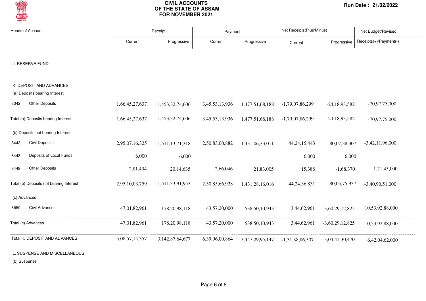

| <b>Heads of Account</b>                                        |                | Receipt             |                    | Payment         |                   | Net Receipts(Plus/Minus) |                        |
|----------------------------------------------------------------|----------------|---------------------|--------------------|-----------------|-------------------|--------------------------|------------------------|
|                                                                | Current        | Progressive         | Current            | Progressive     | Current           | Progressive              | Receipts(+)/Payment(-) |
| J. RESERVE FUND                                                |                |                     |                    |                 |                   |                          |                        |
| K. DEPOSIT AND ADVANCES                                        |                |                     |                    |                 |                   |                          |                        |
| (a) Deposits bearing Interest<br><b>Other Deposits</b><br>8342 | 1,66,45,27,637 | 1,453,32,74,606     | 3,45,53,13,936     | 1,477,51,68,188 | $-1,79,07,86,299$ | $-24,18,93,582$          | $-70,97,75,000$        |
| Total (a) Deposits bearing Interest                            | 1,66,45,27,637 | 1,453,32,74,606     | 3, 45, 53, 13, 936 | 1,477,51,68,188 | -1,79,07,86,299   | $-24,18,93,582$          | $-70,97,75,000$        |
| (b) Deposits not bearing Interest                              |                |                     |                    |                 |                   |                          |                        |
| <b>Civil Deposits</b><br>8443                                  | 2,95,07,16,325 | 1,511,13,71,318     | 2,50,83,00,882     | 1,431,06,33,011 | 44, 24, 15, 443   | 80,07,38,307             | $-3,42,11,96,000$      |
| Deposits of Local Funds<br>8448                                | 6,000          | 6,000               |                    |                 | 6,000             | 6,000                    |                        |
| <b>Other Deposits</b><br>8449                                  | 2,81,434       | 20,14,635           | 2,66,046           | 21,83,005       | 15,388            | $-1,68,370$              | 1,21,45,000            |
| Total (b) Deposits not bearing Interest                        | 2,95,10,03,759 | 1,511,33,91,953     | 2,50,85,66,928     | 1,431,28,16,016 | 44, 24, 36, 831   | 80,05,75,937             | $-3,40,90,51,000$      |
| (c) Advances                                                   |                |                     |                    |                 |                   |                          |                        |
| Civil Advances<br>8550                                         | 47,01,82,961   | 178, 20, 98, 118    | 43,57,20,000       | 538,50,10,943   | 3,44,62,961       | $-3,60,29,12,825$        | 10,53,92,88,000        |
| Total (c) Advances                                             | 47,01,82,961   | 178, 20, 98, 118    | 43,57,20,000       | 538,50,10,943   | 3,44,62,961       | $-3,60,29,12,825$        | 10,53,92,88,000        |
| Total K. DEPOSIT AND ADVANCES                                  | 5,08,57,14,357 | 3, 142, 87, 64, 677 | 6,39,96,00,864     | 3,447,29,95,147 | $-1,31,38,86,507$ | $-3,04,42,30,470$        | 6,42,04,62,000         |

(b) Suspense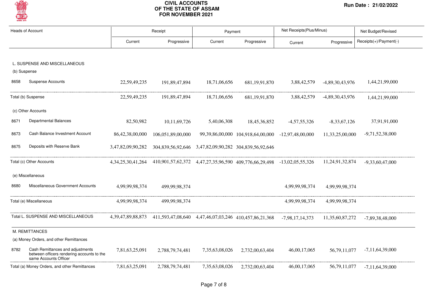

| <b>Heads of Account</b> |                                                                                                         |                        | Receipt                                                                 | Payment        |                                                    | Net Receipts (Plus/Minus) |                   | Net Budget/Revised     |
|-------------------------|---------------------------------------------------------------------------------------------------------|------------------------|-------------------------------------------------------------------------|----------------|----------------------------------------------------|---------------------------|-------------------|------------------------|
|                         |                                                                                                         | Current                | Progressive                                                             | Current        | Progressive                                        | Current                   | Progressive       | Receipts(+)/Payment(-) |
|                         | L. SUSPENSE AND MISCELLANEOUS                                                                           |                        |                                                                         |                |                                                    |                           |                   |                        |
| (b) Suspense            |                                                                                                         |                        |                                                                         |                |                                                    |                           |                   |                        |
| 8658                    | <b>Suspense Accounts</b>                                                                                | 22,59,49,235           | 191,89,47,894                                                           | 18,71,06,656   | 681, 19, 91, 870                                   | 3,88,42,579               | -4,89,30,43,976   | 1,44,21,99,000         |
|                         | Total (b) Suspense                                                                                      | 22,59,49,235           | 191,89,47,894                                                           | 18,71,06,656   | 681, 19, 91, 870                                   | 3,88,42,579               | $-4,89,30,43,976$ | 1,44,21,99,000         |
|                         | (c) Other Accounts                                                                                      |                        |                                                                         |                |                                                    |                           |                   |                        |
| 8671                    | Departmental Balances                                                                                   | 82,50,982              | 10,11,69,726                                                            | 5,40,06,308    | 18,45,36,852                                       | $-4,57,55,326$            | $-8,33,67,126$    | 37,91,91,000           |
| 8673                    | Cash Balance Investment Account                                                                         | 86,42,38,00,000        | 106,051,89,00,000                                                       |                | 99,39,86,00,000 104,918,64,00,000 -12,97,48,00,000 |                           | 11,33,25,00,000   | $-9,71,52,38,000$      |
| 8675                    | Deposits with Reserve Bank                                                                              | 3,47,82,09,90,282      | 304,839,56,92,646  3,47,82,09,90,282  304,839,56,92,646                 |                |                                                    |                           |                   |                        |
|                         | Total (c) Other Accounts                                                                                | 4, 34, 25, 30, 41, 264 | 410,901,57,62,372 4,47,27,35,96,590 409,776,66,29,498 -13,02,05,55,326  |                |                                                    |                           | 11,24,91,32,874   | $-9,33,60,47,000$      |
|                         | (e) Miscellaneous                                                                                       |                        |                                                                         |                |                                                    |                           |                   |                        |
| 8680                    | Miscellaneous Government Accounts                                                                       | 4,99,99,98,374         | 499,99,98,374                                                           |                |                                                    | 4,99,99,98,374            | 4,99,99,98,374    |                        |
|                         | Total (e) Miscellaneous                                                                                 | 4,99,99,98,374         | 499,99,98,374                                                           |                |                                                    | 4,99,99,98,374            | 4,99,99,98,374    |                        |
|                         | Total L. SUSPENSE AND MISCELLANEOUS                                                                     |                        | 4,39,47,89,88,873 411,593,47,08,640 4,47,46,07,03,246 410,457,86,21,368 |                |                                                    | $-7,98,17,14,373$         | 11,35,60,87,272   | $-7,89,38,48,000$      |
|                         | M. REMITTANCES                                                                                          |                        |                                                                         |                |                                                    |                           |                   |                        |
|                         | (a) Money Orders, and other Remittances                                                                 |                        |                                                                         |                |                                                    |                           |                   |                        |
| 8782                    | Cash Remittances and adjustments<br>between officers rendering accounts to the<br>same Accounts Officer | 7,81,63,25,091         | 2,788,79,74,481                                                         | 7,35,63,08,026 | 2,732,00,63,404                                    | 46,00,17,065              | 56,79,11,077      | $-7,11,64,39,000$      |
|                         | Total (a) Money Orders, and other Remittances                                                           | 7,81,63,25,091         | 2,788,79,74,481                                                         | 7,35,63,08,026 | 2.732.00.63.404                                    | 46,00,17,065              | 56, 79, 11, 077   | $-7,11,64,39,000$      |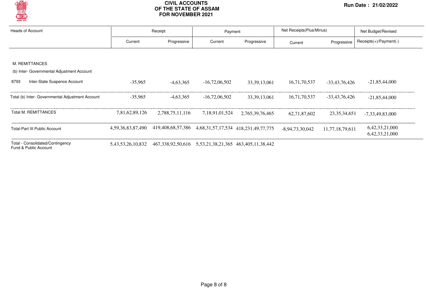

| <b>Heads of Account</b>                                   |                        | Receipt                                                            | Payment         |                 | Net Receipts (Plus/Minus) |                 | Net Budget/Revised                   |
|-----------------------------------------------------------|------------------------|--------------------------------------------------------------------|-----------------|-----------------|---------------------------|-----------------|--------------------------------------|
|                                                           | Current                | Progressive                                                        | Current         | Progressive     | Current                   | Progressive     | $Receipts(+)/Payment(-)$             |
|                                                           |                        |                                                                    |                 |                 |                           |                 |                                      |
| M. REMITTANCES                                            |                        |                                                                    |                 |                 |                           |                 |                                      |
| (b) Inter- Governmental Adjustment Account                |                        |                                                                    |                 |                 |                           |                 |                                      |
| Inter-State Suspence Account<br>8793                      | $-35,965$              | $-4,63,365$                                                        | $-16,72,06,502$ | 33, 39, 13, 061 | 16,71,70,537              | -33,43,76,426   | $-21,85,44,000$                      |
| Total (b) Inter- Governmental Adjustment Account          | $-35.965$              | $-4,63,365$                                                        | $-16,72,06,502$ | 33, 39, 13, 061 | 16,71,70,537              | -33,43,76,426   | $-21,85,44,000$                      |
| Total M. REMITTANCES                                      | 7,81,62,89,126         | 2.788.75.11.116                                                    | 7,18,91,01,524  | 2,765,39,76,465 | 62.71.87.602              | 23, 35, 34, 651 | $-7,33,49,83,000$                    |
| <b>Total-Part III Public Account</b>                      | 4,59,36,83,87,490      | 419,408,68,57,386 4,68,31,57,17,534 418,231,49,77,775              |                 |                 | $-8,94,73,30,042$         | 11,77,18,79,611 | 6, 42, 33, 21, 000<br>6,42,33,21,000 |
| Total - Consolidated/Contingency<br>Fund & Public Account | 5, 43, 53, 26, 10, 832 | 467, 338, 92, 50, 616 5, 53, 21, 38, 21, 365 463, 405, 11, 38, 442 |                 |                 |                           |                 |                                      |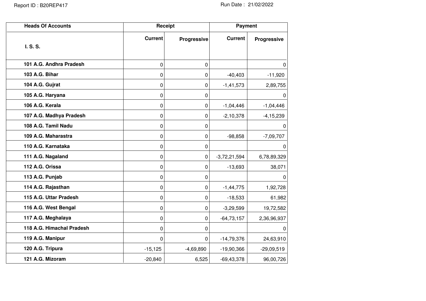| <b>Heads Of Accounts</b>  |                | Receipt     | <b>Payment</b> |               |
|---------------------------|----------------|-------------|----------------|---------------|
| I. S. S.                  | <b>Current</b> | Progressive | <b>Current</b> | Progressive   |
| 101 A.G. Andhra Pradesh   | 0              | $\mathbf 0$ |                | 0             |
| 103 A.G. Bihar            | 0              | $\pmb{0}$   | $-40,403$      | $-11,920$     |
| 104 A.G. Gujrat           | 0              | 0           | $-1,41,573$    | 2,89,755      |
| 105 A.G. Haryana          | 0              | 0           |                | 0             |
| 106 A.G. Kerala           | 0              | $\pmb{0}$   | $-1,04,446$    | $-1,04,446$   |
| 107 A.G. Madhya Pradesh   | 0              | 0           | $-2, 10, 378$  | $-4, 15, 239$ |
| 108 A.G. Tamil Nadu       | 0              | 0           |                | 0             |
| 109 A.G. Maharastra       | 0              | $\pmb{0}$   | $-98,858$      | $-7,09,707$   |
| 110 A.G. Karnataka        | 0              | $\mathbf 0$ |                | 0             |
| 111 A.G. Nagaland         | 0              | $\mathbf 0$ | $-3,72,21,594$ | 6,78,89,329   |
| 112 A.G. Orissa           | 0              | 0           | $-13,693$      | 38,071        |
| 113 A.G. Punjab           | 0              | $\pmb{0}$   |                | $\mathbf 0$   |
| 114 A.G. Rajasthan        | 0              | 0           | $-1,44,775$    | 1,92,728      |
| 115 A.G. Uttar Pradesh    | 0              | $\mathbf 0$ | $-18,533$      | 61,982        |
| 116 A.G. West Bengal      | 0              | $\mathbf 0$ | $-3,29,599$    | 19,72,582     |
| 117 A.G. Meghalaya        | 0              | 0           | $-64,73,157$   | 2,36,96,937   |
| 118 A.G. Himachal Pradesh | 0              | 0           |                | 0             |
| 119 A.G. Manipur          | 0              | $\mathbf 0$ | $-14,79,376$   | 24,63,910     |
| 120 A.G. Tripura          | $-15,125$      | $-4,69,890$ | $-19,90,366$   | $-29,09,519$  |
| 121 A.G. Mizoram          | $-20,840$      | 6,525       | $-69, 43, 378$ | 96,00,726     |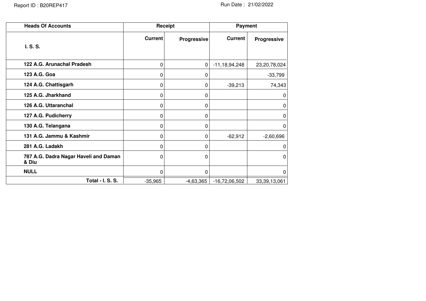| <b>Heads Of Accounts</b>                       | Receipt        |             | Payment            |              |
|------------------------------------------------|----------------|-------------|--------------------|--------------|
| I. S. S.                                       | <b>Current</b> | Progressive | <b>Current</b>     | Progressive  |
| 122 A.G. Arunachal Pradesh                     | 0              | 0           | $-11, 18, 94, 248$ | 23,20,78,024 |
| 123 A.G. Goa                                   | 0              | 0           |                    | $-33,799$    |
| 124 A.G. Chattisgarh                           | 0              | 0           | $-39,213$          | 74,343       |
| 125 A.G. Jharkhand                             | 0              | 0           |                    | $\mathbf{0}$ |
| 126 A.G. Uttaranchal                           | 0              | 0           |                    | 0            |
| 127 A.G. Pudicherry                            | 0              | 0           |                    | 0            |
| 130 A.G. Telangana                             | 0              | 0           |                    | 0            |
| 131 A.G. Jammu & Kashmir                       | 0              | 0           | $-62,912$          | $-2,60,696$  |
| 281 A.G. Ladakh                                | 0              | 0           |                    | 0            |
| 787 A.G. Dadra Nagar Haveli and Daman<br>& Diu | 0              | 0           |                    | $\Omega$     |
| <b>NULL</b>                                    | 0              | 0           |                    | 0            |
| Total - I. S. S.                               | $-35,965$      | $-4,63,365$ | $-16,72,06,502$    | 33,39,13,061 |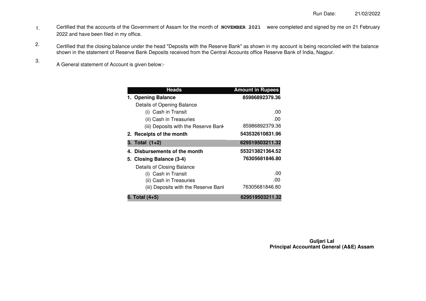- Certified that the accounts of the Government of Assam for the month of **NOVEMBER 2021** were completed and signed by me on 21 February 2022 and have been filed in my office. 1.
- Certified that the closing balance under the head "Deposits with the Reserve Bank" as shown in my account is being reconciled with the balance shown in the statement of Reserve Bank Deposits received from the Central Accounts office Reserve Bank of India, Nagpur. 2.
	- A General statement of Account is given below:-

3.

| <b>Heads</b>                         | <b>Amount in Rupees</b> |
|--------------------------------------|-------------------------|
| 1. Opening Balance                   | 85986892379.36          |
| Details of Opening Balance           |                         |
| (i) Cash in Transit                  | .00                     |
| (ii) Cash in Treasuries              | .00                     |
| (iii) Deposits with the Reserve Bank | 85986892379.36          |
| 2. Receipts of the month             | 543532610831.96         |
| 3. Total (1+2)                       | 629519503211.32         |
| 4. Disbursements of the month        | 553213821364.52         |
| 5. Closing Balance (3-4)             | 76305681846.80          |
| Details of Closing Balance           |                         |
| (i) Cash in Transit                  | .00                     |
| (ii) Cash in Treasuries              | .00                     |
| (iii) Deposits with the Reserve Bank | 76305681846.80          |
| 6. Total (4+5)                       | 629519503211.32         |

**Guljari Lal Principal Accountant General (A&E) Assam**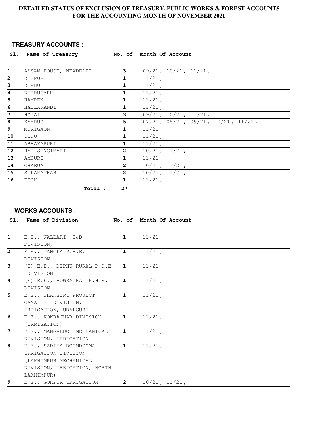| <b>TREASURY ACCOUNTS:</b> |                       |                |                                                   |
|---------------------------|-----------------------|----------------|---------------------------------------------------|
| SI.                       | Name of Treasury      |                | No. of   Month Of Account                         |
|                           |                       |                |                                                   |
| 1                         | ASSAM HOUSE, NEWDELHI | 3              | $09/21$ , $10/21$ , $11/21$ ,                     |
| 2                         | DISPUR                | $\mathbf{1}$   | $11/21$ ,                                         |
| β                         | DIPHU                 | $\mathbf{1}$   | $11/21$ ,                                         |
| 4                         | DIBRUGARH             | $\mathbf{1}$   | 11/21,                                            |
| 5                         | <b>HAMREN</b>         | $\mathbf{1}$   | $11/21$ ,                                         |
| $\overline{6}$            | HAILAKANDI            | $\mathbf{1}$   | 11/21,                                            |
| 7                         | HOJAI                 | 3              | $09/21$ , $10/21$ , $11/21$ ,                     |
| $\overline{8}$            | <b>KAMRUP</b>         | 5              | $07/21$ , $08/21$ , $09/21$ , $10/21$ , $11/21$ , |
| ি                         | MORIGAON              | $\mathbf{1}$   | $11/21$ ,                                         |
| 10                        | TIHU                  | $\mathbf{1}$   | 11/21,                                            |
| 11                        | ABHAYAPURI            | $\mathbf{1}$   | $11/21$ ,                                         |
| $\overline{12}$           | HAT SINGIMARI         | $\overline{2}$ | 10/21, 11/21,                                     |
| $\overline{13}$           | AMGURI                | $\mathbf{1}$   | $11/21$ ,                                         |
| $\overline{14}$           | CHABUA                | $\overline{2}$ | 10/21, 11/21,                                     |
| 15                        | SILAPATHAR            | $\overline{2}$ | 10/21, 11/21,                                     |
| 16                        | TEOK                  | $\mathbf{1}$   | $11/21$ ,                                         |
|                           | Total :               | 27             |                                                   |

| <b>WORKS ACCOUNTS:</b>  |                             |                |                  |
|-------------------------|-----------------------------|----------------|------------------|
| $S1$ .                  | Name of Division            | No. of         | Month Of Account |
|                         |                             |                |                  |
| $\overline{\mathbf{1}}$ | E.E., NALBARI E&D           | $\mathbf{1}$   | $11/21$ ,        |
|                         | DIVISION,                   |                |                  |
| 2                       | E.E., TANGLA P.H.E.         | $\mathbf{1}$   | $11/21$ ,        |
|                         | DIVISION                    |                |                  |
| 3                       | (E) E.E., DIPHU RURAL P.H.E | $\mathbf{1}$   | $11/21$ ,        |
|                         | DIVISION                    |                |                  |
| 4                       | (E) E.E., HOWRAGHAT P.H.E.  | $\mathbf{1}$   | 11/21,           |
|                         | DIVISION                    |                |                  |
| 5                       | E.E., DHANSIRI PROJECT      | $\mathbf{1}$   | 11/21,           |
|                         | CANAL -I DIVISION,          |                |                  |
|                         | IRRIGATION, UDALGURI        |                |                  |
| $\overline{6}$          | E.E., KOKRAJHAR DIVISION    | $\mathbf{1}$   | $11/21$ ,        |
|                         | (IRRIGATION)                |                |                  |
| 7                       | E.E., MANGALDOI MECHANICAL  | $\mathbf{1}$   | $11/21$ ,        |
|                         | DIVISION, IRRIGATION        |                |                  |
| 8                       | E.E., SADIYA-DOOMDOOMA      | $\mathbf{1}$   | $11/21$ ,        |
|                         | IRRIGATION DIVISION         |                |                  |
|                         | (LAKHIMPUR MECHANICAL       |                |                  |
|                         | DIVISION, IRRIGATION, NORTH |                |                  |
|                         | LAKHIMPUR)                  |                |                  |
| 9                       | E.E., GOHPUR IRRIGATION     | $\overline{2}$ | 10/21, 11/21,    |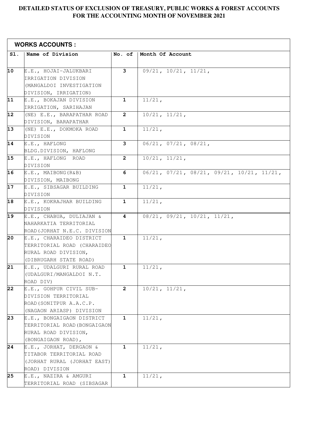|                 | <b>WORKS ACCOUNTS:</b>                          |                |                                                             |  |
|-----------------|-------------------------------------------------|----------------|-------------------------------------------------------------|--|
| SI.             | Name of Division                                | No. of         | Month Of Account                                            |  |
|                 |                                                 |                |                                                             |  |
| 10              | E.E., HOJAI-JALUKBARI                           | 3              | $09/21$ , $10/21$ , $11/21$ ,                               |  |
|                 | IRRIGATION DIVISION                             |                |                                                             |  |
|                 | (MANGALDOI INVESTIGATION                        |                |                                                             |  |
|                 | DIVISION, IRRIGATION)                           |                |                                                             |  |
| 11              | E.E., BOKAJAN DIVISION                          | $\mathbf{1}$   | $11/21$ ,                                                   |  |
|                 | IRRIGATION, SARIHAJAN                           |                |                                                             |  |
| $\overline{12}$ | (NE) E.E., BARAPATHAR ROAD                      | $\mathbf{2}$   | 10/21, 11/21,                                               |  |
| 13              | DIVISION, BARAPATHAR<br>(NE) E.E., DOKMOKA ROAD | $\mathbf{1}$   | $11/21$ ,                                                   |  |
|                 | DIVISION                                        |                |                                                             |  |
| 14              | E.E., HAFLONG                                   | 3              | $06/21$ , $07/21$ , $08/21$ ,                               |  |
|                 | BLDG.DIVISION, HAFLONG                          |                |                                                             |  |
| 15              | E.E., HAFLONG ROAD                              | $\overline{2}$ | 10/21, 11/21,                                               |  |
|                 | DIVISION                                        |                |                                                             |  |
| 16              | E.E., MAIBONG(R&B)                              | 6              | $06/21$ , $07/21$ , $08/21$ , $09/21$ , $10/21$ , $11/21$ , |  |
|                 | DIVISION, MAIBONG                               |                |                                                             |  |
| 17              | E.E., SIBSAGAR BUILDING                         | $\mathbf{1}$   | $11/21$ ,                                                   |  |
|                 | DIVISION                                        |                |                                                             |  |
| 18              | E.E., KOKRAJHAR BUILDING                        | $\mathbf{1}$   | $11/21$ ,                                                   |  |
|                 | DIVISION                                        |                |                                                             |  |
| 19              | E.E., CHABUA, DULIAJAN &                        | 4              | 08/21, 09/21, 10/21, 11/21,                                 |  |
|                 | NAHARKATIA TERRITORIAL                          |                |                                                             |  |
|                 | ROAD (JORHAT N.E.C. DIVISION                    |                |                                                             |  |
| 20              | E.E., CHARAIDEO DISTRICT                        | $\mathbf{1}$   | $11/21$ ,                                                   |  |
|                 | TERRITORIAL ROAD (CHARAIDEO                     |                |                                                             |  |
|                 | RURAL ROAD DIVISION,                            |                |                                                             |  |
|                 | (DIBRUGARH STATE ROAD)                          |                |                                                             |  |
| 21              | E.E., UDALGURI RURAL ROAD                       | $\mathbf{1}$   | $11/21$ ,                                                   |  |
|                 | (UDALGURI/MANGALDOI N.T.                        |                |                                                             |  |
|                 | ROAD DIV)                                       |                |                                                             |  |
| 22              | E.E., GOHPUR CIVIL SUB-                         | $\overline{2}$ | $10/21$ , $11/21$ ,                                         |  |
|                 | DIVISION TERRITORIAL                            |                |                                                             |  |
|                 | ROAD (SONITPUR A.A.C.P.                         |                |                                                             |  |
|                 | (NAGAON ARIASP) DIVISION                        |                |                                                             |  |
| 23              | E.E., BONGAIGAON DISTRICT                       | $\mathbf{1}$   | $11/21$ ,                                                   |  |
|                 | TERRITORIAL ROAD (BONGAIGAON                    |                |                                                             |  |
|                 | RURAL ROAD DIVISION,                            |                |                                                             |  |
|                 | (BONGAIGAON ROAD),                              |                |                                                             |  |
| 24              | E.E., JORHAT, DERGAON &                         | $\mathbf{1}$   | $11/21$ ,                                                   |  |
|                 | TITABOR TERRITORIAL ROAD                        |                |                                                             |  |
|                 | (JORHAT RURAL (JORHAT EAST)                     |                |                                                             |  |
|                 | ROAD) DIVISION                                  |                |                                                             |  |
| 25              | E.E., NAZIRA & AMGURI                           | $\mathbf{1}$   | $11/21$ ,                                                   |  |
|                 | TERRITORIAL ROAD (SIBSAGAR                      |                |                                                             |  |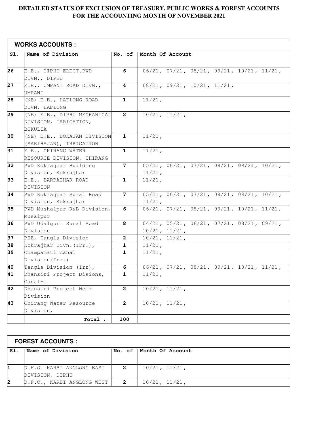| Sl.             | Name of Division                                                | No. of         | Month Of Account                                                             |
|-----------------|-----------------------------------------------------------------|----------------|------------------------------------------------------------------------------|
|                 |                                                                 |                |                                                                              |
| 26              | E.E., DIPHU ELECT.PWD                                           | 6              | $06/21$ , $07/21$ , $08/21$ , $09/21$ , $10/21$ , $11/21$ ,                  |
|                 | DIVN., DIPHU                                                    |                |                                                                              |
| 27              | E.E., UMPANI ROAD DIVN.,<br>UMPANI                              | 4              | 08/21, 09/21, 10/21, 11/21,                                                  |
| 28              | (NE) E.E., HAFLONG ROAD<br>DIVN, HAFLONG                        | $\mathbf{1}$   | $11/21$ ,                                                                    |
| $\overline{29}$ | (NE) E.E., DIPHU MECHANICAL<br>DIVISION, IRRIGATION,<br>BOKULIA | $\overline{2}$ | 10/21, 11/21,                                                                |
| 30              | (NE) E.E., BOKAJAN DIVISION<br>(SARIHAJAN), IRRIGATION          | $\mathbf{1}$   | $11/21$ ,                                                                    |
| 31              | E.E., CHIRANG WATER<br>RESOURCE DIVISION, CHIRANG               | $\mathbf{1}$   | $11/21$ ,                                                                    |
| 32              | PWD Kokrajhar Building<br>Division, Kokrajhar                   | $7\phantom{.}$ | $05/21$ , $06/21$ , $07/21$ , $08/21$ , $09/21$ , $10/21$ ,<br>$11/21$ ,     |
| 33              | E.E., BARPATHAR ROAD<br>DIVISION                                | 1              | $11/21$ ,                                                                    |
| 34              | PWD Kokrajhar Rural Road<br>Division, Kokrajhar                 | 7              | $05/21$ , $06/21$ , $07/21$ , $08/21$ , $09/21$ , $10/21$ ,<br>$11/21$ ,     |
| 35              | PWD Mushalpur R&B Division,<br>Musalpur                         | 6              | $06/21$ , $07/21$ , $08/21$ , $09/21$ , $10/21$ , $11/21$ ,                  |
| 36              | PWD Udalguri Rural Road<br>Division                             | 8              | $04/21$ , $05/21$ , $06/21$ , $07/21$ , $08/21$ , $09/21$ ,<br>10/21, 11/21, |
| 37              | PHE, Tangla Division                                            | 2              | 10/21, 11/21,                                                                |
| 38              | Kokrajhar Divn. (Irr.),                                         | 1              | 11/21,                                                                       |
| 39              | Champamati canal<br>Division (Irr.)                             | $\mathbf{1}$   | 11/21,                                                                       |
| 40              | Tangla Division (Irr),                                          | 6              | $06/21$ , $07/21$ , $08/21$ , $09/21$ , $10/21$ , $11/21$ ,                  |
| 41              | Dhansiri Project Disions,<br>$\texttt{Canal-1}$                 | $\mathbf{1}$   | 11/21,                                                                       |
| 42              | Dhansiri Project Weir<br>Division                               | $\overline{2}$ | 10/21, 11/21,                                                                |
| 43              | Chirang Water Resource<br>Division,                             | $\mathbf{2}$   | 10/21, 11/21,                                                                |
|                 | Total :                                                         | 100            |                                                                              |

| <b>FOREST ACCOUNTS :</b> |                            |                |                           |
|--------------------------|----------------------------|----------------|---------------------------|
| $S1$ .                   | Name of Division           |                | No. of   Month Of Account |
|                          |                            |                |                           |
|                          | D.F.O. KARBI ANGLONG EAST  | $\mathbf{2}$   | $10/21$ , $11/21$ ,       |
|                          | DIVISION, DIPHU            |                |                           |
|                          | D.F.O., KARBI ANGLONG WEST | $\overline{2}$ | $10/21$ , $11/21$ ,       |